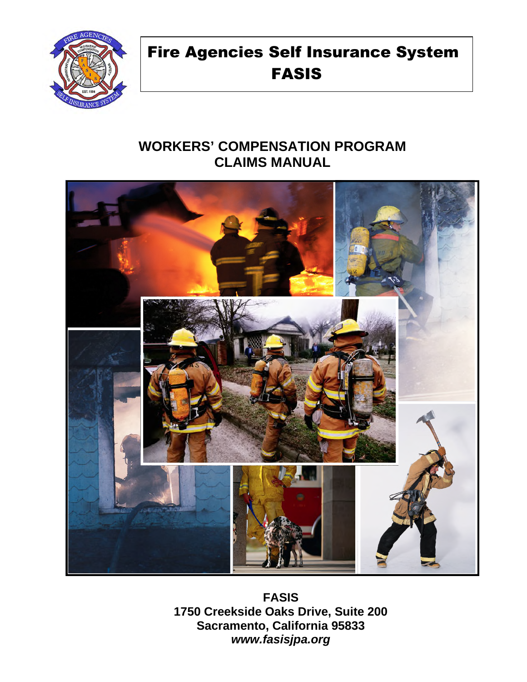

# Fire Agencies Self Insurance System FASIS

# **WORKERS' COMPENSATION PROGRAM CLAIMS MANUAL**



**FASIS 1750 Creekside Oaks Drive, Suite 200 Sacramento, California 95833**  *www.fasisjpa.org*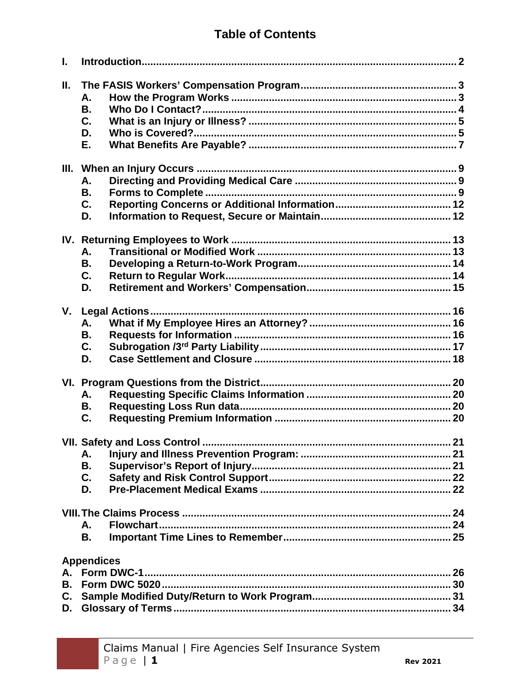# **Table of Contents**

| I.                          |                                   |  |
|-----------------------------|-----------------------------------|--|
| Ш.                          | А.<br><b>B.</b><br>C.<br>D.<br>Е. |  |
|                             | А.<br><b>B.</b><br>C.<br>D.       |  |
|                             | А.<br><b>B.</b><br>C.<br>D.       |  |
| V.                          | А.<br>В.<br>C.<br>D.              |  |
|                             | А.<br>В.<br>C.                    |  |
|                             | Α.<br>В.<br>C.<br>D.              |  |
|                             | А.<br>Flowchart<br>В.             |  |
| А.<br><b>B.</b><br>C.<br>D. | <b>Appendices</b>                 |  |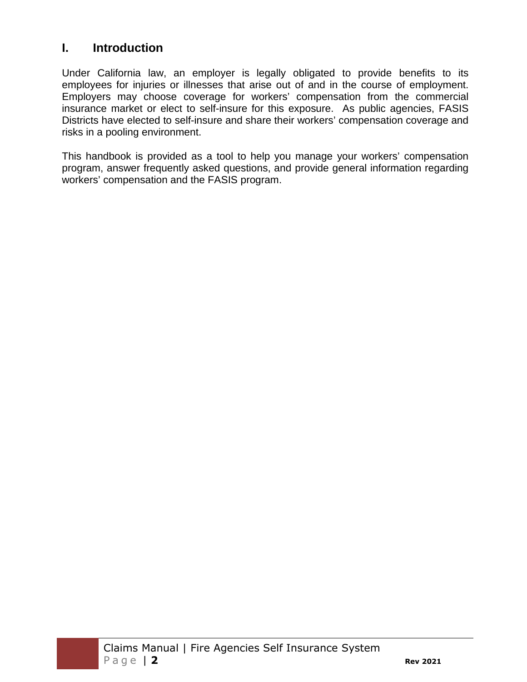# **I. Introduction**

Under California law, an employer is legally obligated to provide benefits to its employees for injuries or illnesses that arise out of and in the course of employment. Employers may choose coverage for workers' compensation from the commercial insurance market or elect to self-insure for this exposure. As public agencies, FASIS Districts have elected to self-insure and share their workers' compensation coverage and risks in a pooling environment.

This handbook is provided as a tool to help you manage your workers' compensation program, answer frequently asked questions, and provide general information regarding workers' compensation and the FASIS program.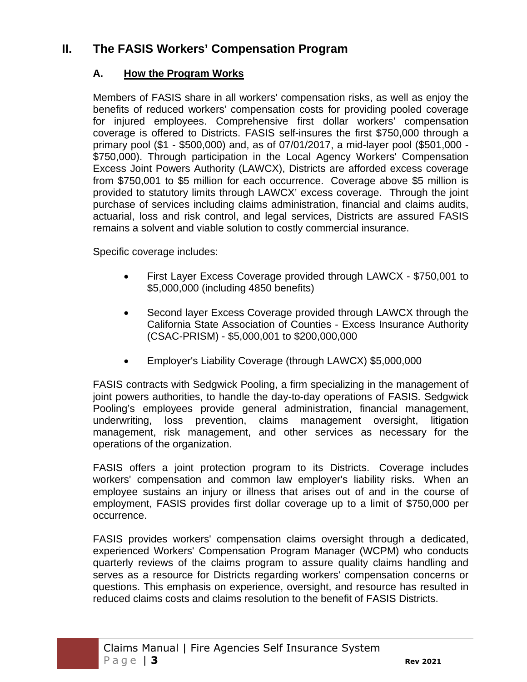# **II. The FASIS Workers' Compensation Program**

# **A. How the Program Works**

Members of FASIS share in all workers' compensation risks, as well as enjoy the benefits of reduced workers' compensation costs for providing pooled coverage for injured employees. Comprehensive first dollar workers' compensation coverage is offered to Districts. FASIS self-insures the first \$750,000 through a primary pool (\$1 - \$500,000) and, as of 07/01/2017, a mid-layer pool (\$501,000 - \$750,000). Through participation in the Local Agency Workers' Compensation Excess Joint Powers Authority (LAWCX), Districts are afforded excess coverage from \$750,001 to \$5 million for each occurrence. Coverage above \$5 million is provided to statutory limits through LAWCX' excess coverage. Through the joint purchase of services including claims administration, financial and claims audits, actuarial, loss and risk control, and legal services, Districts are assured FASIS remains a solvent and viable solution to costly commercial insurance.

Specific coverage includes:

- First Layer Excess Coverage provided through LAWCX \$750,001 to \$5,000,000 (including 4850 benefits)
- Second layer Excess Coverage provided through LAWCX through the California State Association of Counties - Excess Insurance Authority (CSAC-PRISM) - \$5,000,001 to \$200,000,000
- Employer's Liability Coverage (through LAWCX) \$5,000,000

FASIS contracts with Sedgwick Pooling, a firm specializing in the management of joint powers authorities, to handle the day-to-day operations of FASIS. Sedgwick Pooling's employees provide general administration, financial management, underwriting, loss prevention, claims management oversight, litigation management, risk management, and other services as necessary for the operations of the organization.

FASIS offers a joint protection program to its Districts. Coverage includes workers' compensation and common law employer's liability risks. When an employee sustains an injury or illness that arises out of and in the course of employment, FASIS provides first dollar coverage up to a limit of \$750,000 per occurrence.

FASIS provides workers' compensation claims oversight through a dedicated, experienced Workers' Compensation Program Manager (WCPM) who conducts quarterly reviews of the claims program to assure quality claims handling and serves as a resource for Districts regarding workers' compensation concerns or questions. This emphasis on experience, oversight, and resource has resulted in reduced claims costs and claims resolution to the benefit of FASIS Districts.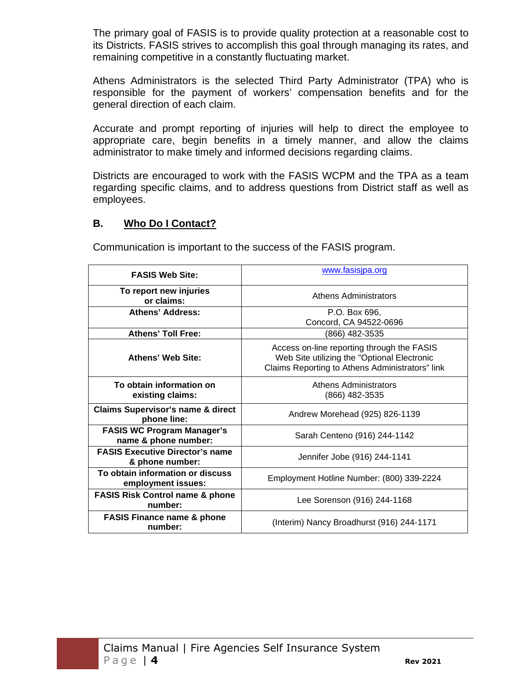The primary goal of FASIS is to provide quality protection at a reasonable cost to its Districts. FASIS strives to accomplish this goal through managing its rates, and remaining competitive in a constantly fluctuating market.

Athens Administrators is the selected Third Party Administrator (TPA) who is responsible for the payment of workers' compensation benefits and for the general direction of each claim.

Accurate and prompt reporting of injuries will help to direct the employee to appropriate care, begin benefits in a timely manner, and allow the claims administrator to make timely and informed decisions regarding claims.

Districts are encouraged to work with the FASIS WCPM and the TPA as a team regarding specific claims, and to address questions from District staff as well as employees.

#### **B. Who Do I Contact?**

Communication is important to the success of the FASIS program.

| <b>FASIS Web Site:</b>                                      | www.fasisjpa.org                                                                                                                             |
|-------------------------------------------------------------|----------------------------------------------------------------------------------------------------------------------------------------------|
| To report new injuries<br>or claims:                        | Athens Administrators                                                                                                                        |
| <b>Athens' Address:</b>                                     | P.O. Box 696.<br>Concord, CA 94522-0696                                                                                                      |
| <b>Athens' Toll Free:</b>                                   | (866) 482-3535                                                                                                                               |
| Athens' Web Site:                                           | Access on-line reporting through the FASIS<br>Web Site utilizing the "Optional Electronic<br>Claims Reporting to Athens Administrators" link |
| To obtain information on<br>existing claims:                | Athens Administrators<br>(866) 482-3535                                                                                                      |
| <b>Claims Supervisor's name &amp; direct</b><br>phone line: | Andrew Morehead (925) 826-1139                                                                                                               |
| <b>FASIS WC Program Manager's</b><br>name & phone number:   | Sarah Centeno (916) 244-1142                                                                                                                 |
| <b>FASIS Executive Director's name</b><br>& phone number:   | Jennifer Jobe (916) 244-1141                                                                                                                 |
| To obtain information or discuss<br>employment issues:      | Employment Hotline Number: (800) 339-2224                                                                                                    |
| <b>FASIS Risk Control name &amp; phone</b><br>number:       | Lee Sorenson (916) 244-1168                                                                                                                  |
| <b>FASIS Finance name &amp; phone</b><br>number:            | (Interim) Nancy Broadhurst (916) 244-1171                                                                                                    |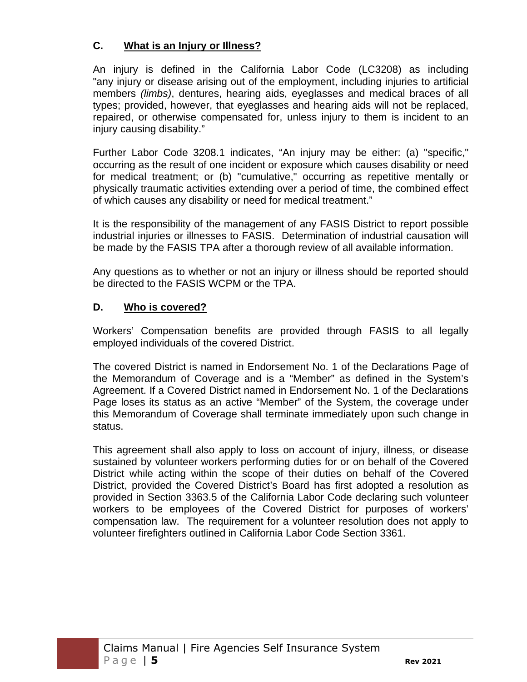### **C. What is an Injury or Illness?**

An injury is defined in the California Labor Code (LC3208) as including "any injury or disease arising out of the employment, including injuries to artificial members *(limbs)*, dentures, hearing aids, eyeglasses and medical braces of all types; provided, however, that eyeglasses and hearing aids will not be replaced, repaired, or otherwise compensated for, unless injury to them is incident to an injury causing disability."

Further Labor Code 3208.1 indicates, "An injury may be either: (a) "specific," occurring as the result of one incident or exposure which causes disability or need for medical treatment; or (b) "cumulative," occurring as repetitive mentally or physically traumatic activities extending over a period of time, the combined effect of which causes any disability or need for medical treatment."

It is the responsibility of the management of any FASIS District to report possible industrial injuries or illnesses to FASIS. Determination of industrial causation will be made by the FASIS TPA after a thorough review of all available information.

Any questions as to whether or not an injury or illness should be reported should be directed to the FASIS WCPM or the TPA.

# **D. Who is covered?**

Workers' Compensation benefits are provided through FASIS to all legally employed individuals of the covered District.

The covered District is named in Endorsement No. 1 of the Declarations Page of the Memorandum of Coverage and is a "Member" as defined in the System's Agreement. If a Covered District named in Endorsement No. 1 of the Declarations Page loses its status as an active "Member" of the System, the coverage under this Memorandum of Coverage shall terminate immediately upon such change in status.

This agreement shall also apply to loss on account of injury, illness, or disease sustained by volunteer workers performing duties for or on behalf of the Covered District while acting within the scope of their duties on behalf of the Covered District, provided the Covered District's Board has first adopted a resolution as provided in Section 3363.5 of the California Labor Code declaring such volunteer workers to be employees of the Covered District for purposes of workers' compensation law. The requirement for a volunteer resolution does not apply to volunteer firefighters outlined in California Labor Code Section 3361.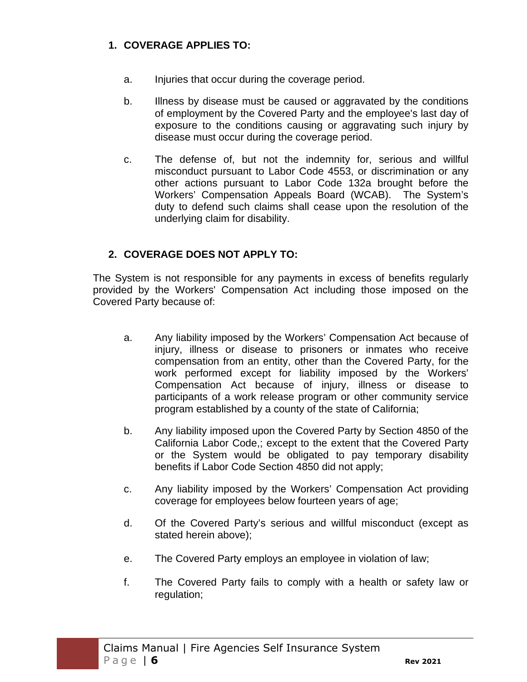# **1. COVERAGE APPLIES TO:**

- a. Injuries that occur during the coverage period.
- b. Illness by disease must be caused or aggravated by the conditions of employment by the Covered Party and the employee's last day of exposure to the conditions causing or aggravating such injury by disease must occur during the coverage period.
- c. The defense of, but not the indemnity for, serious and willful misconduct pursuant to Labor Code 4553, or discrimination or any other actions pursuant to Labor Code 132a brought before the Workers' Compensation Appeals Board (WCAB). The System's duty to defend such claims shall cease upon the resolution of the underlying claim for disability.

# **2. COVERAGE DOES NOT APPLY TO:**

The System is not responsible for any payments in excess of benefits regularly provided by the Workers' Compensation Act including those imposed on the Covered Party because of:

- a. Any liability imposed by the Workers' Compensation Act because of injury, illness or disease to prisoners or inmates who receive compensation from an entity, other than the Covered Party, for the work performed except for liability imposed by the Workers' Compensation Act because of injury, illness or disease to participants of a work release program or other community service program established by a county of the state of California;
- b. Any liability imposed upon the Covered Party by Section 4850 of the California Labor Code,; except to the extent that the Covered Party or the System would be obligated to pay temporary disability benefits if Labor Code Section 4850 did not apply;
- c. Any liability imposed by the Workers' Compensation Act providing coverage for employees below fourteen years of age;
- d. Of the Covered Party's serious and willful misconduct (except as stated herein above);
- e. The Covered Party employs an employee in violation of law;
- f. The Covered Party fails to comply with a health or safety law or regulation;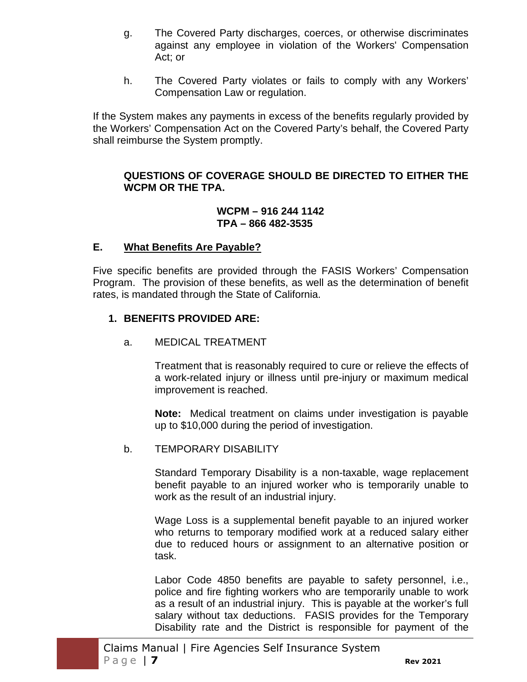- g. The Covered Party discharges, coerces, or otherwise discriminates against any employee in violation of the Workers' Compensation Act; or
- h. The Covered Party violates or fails to comply with any Workers' Compensation Law or regulation.

If the System makes any payments in excess of the benefits regularly provided by the Workers' Compensation Act on the Covered Party's behalf, the Covered Party shall reimburse the System promptly.

#### **QUESTIONS OF COVERAGE SHOULD BE DIRECTED TO EITHER THE WCPM OR THE TPA.**

#### **WCPM – 916 244 1142 TPA – 866 482-3535**

#### **E. What Benefits Are Payable?**

Five specific benefits are provided through the FASIS Workers' Compensation Program. The provision of these benefits, as well as the determination of benefit rates, is mandated through the State of California.

#### **1. BENEFITS PROVIDED ARE:**

#### a. MEDICAL TREATMENT

Treatment that is reasonably required to cure or relieve the effects of a work-related injury or illness until pre-injury or maximum medical improvement is reached.

**Note:** Medical treatment on claims under investigation is payable up to \$10,000 during the period of investigation.

#### b. TEMPORARY DISABILITY

Standard Temporary Disability is a non-taxable, wage replacement benefit payable to an injured worker who is temporarily unable to work as the result of an industrial injury.

Wage Loss is a supplemental benefit payable to an injured worker who returns to temporary modified work at a reduced salary either due to reduced hours or assignment to an alternative position or task.

Labor Code 4850 benefits are payable to safety personnel, i.e., police and fire fighting workers who are temporarily unable to work as a result of an industrial injury. This is payable at the worker's full salary without tax deductions. FASIS provides for the Temporary Disability rate and the District is responsible for payment of the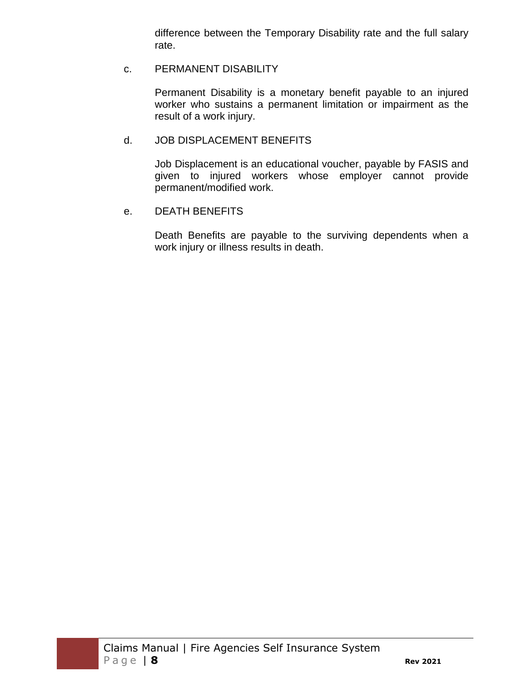difference between the Temporary Disability rate and the full salary rate.

#### c. PERMANENT DISABILITY

Permanent Disability is a monetary benefit payable to an injured worker who sustains a permanent limitation or impairment as the result of a work injury.

#### d. JOB DISPLACEMENT BENEFITS

Job Displacement is an educational voucher, payable by FASIS and given to injured workers whose employer cannot provide permanent/modified work.

#### e. DEATH BENEFITS

Death Benefits are payable to the surviving dependents when a work injury or illness results in death.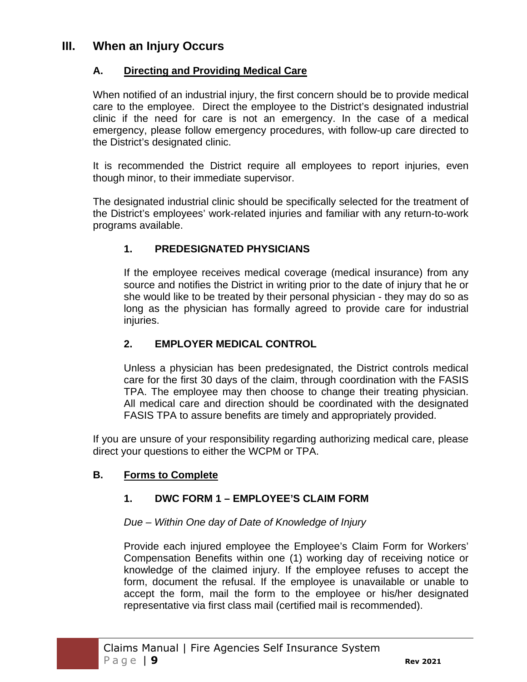# **III. When an Injury Occurs**

# **A. Directing and Providing Medical Care**

When notified of an industrial injury, the first concern should be to provide medical care to the employee. Direct the employee to the District's designated industrial clinic if the need for care is not an emergency. In the case of a medical emergency, please follow emergency procedures, with follow-up care directed to the District's designated clinic.

It is recommended the District require all employees to report injuries, even though minor, to their immediate supervisor.

The designated industrial clinic should be specifically selected for the treatment of the District's employees' work-related injuries and familiar with any return-to-work programs available.

# **1. PREDESIGNATED PHYSICIANS**

If the employee receives medical coverage (medical insurance) from any source and notifies the District in writing prior to the date of injury that he or she would like to be treated by their personal physician - they may do so as long as the physician has formally agreed to provide care for industrial injuries.

# **2. EMPLOYER MEDICAL CONTROL**

Unless a physician has been predesignated, the District controls medical care for the first 30 days of the claim, through coordination with the FASIS TPA. The employee may then choose to change their treating physician. All medical care and direction should be coordinated with the designated FASIS TPA to assure benefits are timely and appropriately provided.

If you are unsure of your responsibility regarding authorizing medical care, please direct your questions to either the WCPM or TPA.

# **B. Forms to Complete**

# **1. DWC FORM 1 – EMPLOYEE'S CLAIM FORM**

#### *Due – Within One day of Date of Knowledge of Injury*

Provide each injured employee the Employee's Claim Form for Workers' Compensation Benefits within one (1) working day of receiving notice or knowledge of the claimed injury. If the employee refuses to accept the form, document the refusal. If the employee is unavailable or unable to accept the form, mail the form to the employee or his/her designated representative via first class mail (certified mail is recommended).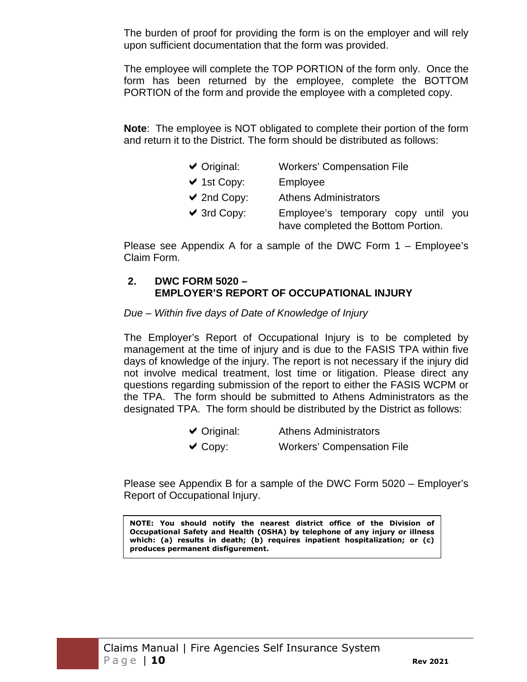The burden of proof for providing the form is on the employer and will rely upon sufficient documentation that the form was provided.

The employee will complete the TOP PORTION of the form only. Once the form has been returned by the employee, complete the BOTTOM PORTION of the form and provide the employee with a completed copy.

**Note**: The employee is NOT obligated to complete their portion of the form and return it to the District. The form should be distributed as follows:

| $\vee$ Original: | <b>Workers' Compensation File</b>                                         |
|------------------|---------------------------------------------------------------------------|
| $\vee$ 1st Copy: | Employee                                                                  |
| $\vee$ 2nd Copy: | <b>Athens Administrators</b>                                              |
| $\vee$ 3rd Copy: | Employee's temporary copy until you<br>have completed the Bottom Portion. |

Please see Appendix A for a sample of the DWC Form 1 – Employee's Claim Form.

### **2. DWC FORM 5020 – EMPLOYER'S REPORT OF OCCUPATIONAL INJURY**

#### *Due – Within five days of Date of Knowledge of Injury*

The Employer's Report of Occupational Injury is to be completed by management at the time of injury and is due to the FASIS TPA within five days of knowledge of the injury. The report is not necessary if the injury did not involve medical treatment, lost time or litigation. Please direct any questions regarding submission of the report to either the FASIS WCPM or the TPA. The form should be submitted to Athens Administrators as the designated TPA. The form should be distributed by the District as follows:

- ◆ Original: Athens Administrators
- Copy: Workers' Compensation File

Please see Appendix B for a sample of the DWC Form 5020 – Employer's Report of Occupational Injury.

**NOTE: You should notify the nearest district office of the Division of Occupational Safety and Health (OSHA) by telephone of any injury or illness which: (a) results in death; (b) requires inpatient hospitalization; or (c) produces permanent disfigurement.**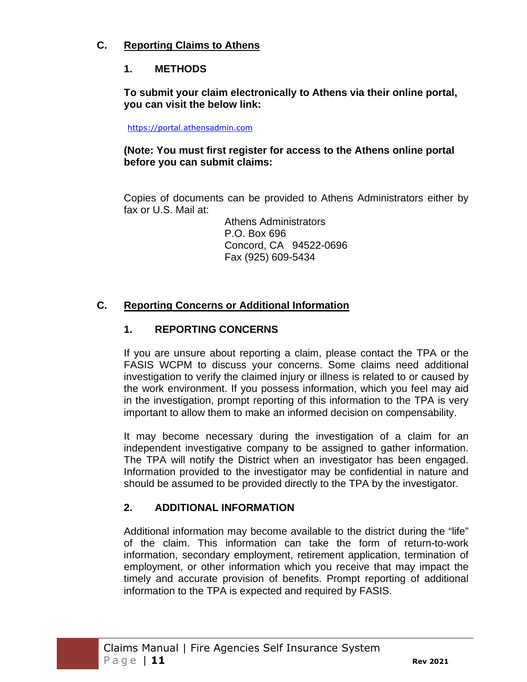### **C. Reporting Claims to Athens**

### **1. METHODS**

**To submit your claim electronically to Athens via their online portal, you can visit the below link:** 

https://portal.athensadmin.com

#### **(Note: You must first register for access to the Athens online portal before you can submit claims:**

Copies of documents can be provided to Athens Administrators either by fax or U.S. Mail at:

> Athens Administrators P.O. Box 696 Concord, CA 94522-0696 Fax (925) 609-5434

### **C. Reporting Concerns or Additional Information**

# **1. REPORTING CONCERNS**

If you are unsure about reporting a claim, please contact the TPA or the FASIS WCPM to discuss your concerns. Some claims need additional investigation to verify the claimed injury or illness is related to or caused by the work environment. If you possess information, which you feel may aid in the investigation, prompt reporting of this information to the TPA is very important to allow them to make an informed decision on compensability.

It may become necessary during the investigation of a claim for an independent investigative company to be assigned to gather information. The TPA will notify the District when an investigator has been engaged. Information provided to the investigator may be confidential in nature and should be assumed to be provided directly to the TPA by the investigator.

#### **2. ADDITIONAL INFORMATION**

Additional information may become available to the district during the "life" of the claim. This information can take the form of return-to-work information, secondary employment, retirement application, termination of employment, or other information which you receive that may impact the timely and accurate provision of benefits. Prompt reporting of additional information to the TPA is expected and required by FASIS.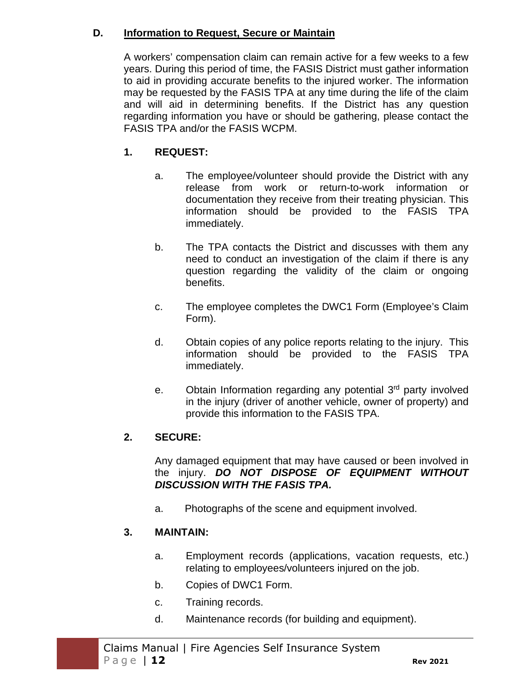#### **D. Information to Request, Secure or Maintain**

A workers' compensation claim can remain active for a few weeks to a few years. During this period of time, the FASIS District must gather information to aid in providing accurate benefits to the injured worker. The information may be requested by the FASIS TPA at any time during the life of the claim and will aid in determining benefits. If the District has any question regarding information you have or should be gathering, please contact the FASIS TPA and/or the FASIS WCPM.

# **1. REQUEST:**

- a. The employee/volunteer should provide the District with any release from work or return-to-work information or documentation they receive from their treating physician. This information should be provided to the FASIS TPA immediately.
- b. The TPA contacts the District and discusses with them any need to conduct an investigation of the claim if there is any question regarding the validity of the claim or ongoing benefits.
- c. The employee completes the DWC1 Form (Employee's Claim Form).
- d. Obtain copies of any police reports relating to the injury. This information should be provided to the FASIS TPA immediately.
- e. Obtain Information regarding any potential  $3<sup>rd</sup>$  party involved in the injury (driver of another vehicle, owner of property) and provide this information to the FASIS TPA.

# **2. SECURE:**

Any damaged equipment that may have caused or been involved in the injury. *DO NOT DISPOSE OF EQUIPMENT WITHOUT DISCUSSION WITH THE FASIS TPA.* 

a. Photographs of the scene and equipment involved.

# **3. MAINTAIN:**

- a. Employment records (applications, vacation requests, etc.) relating to employees/volunteers injured on the job.
- b. Copies of DWC1 Form.
- c. Training records.
- d. Maintenance records (for building and equipment).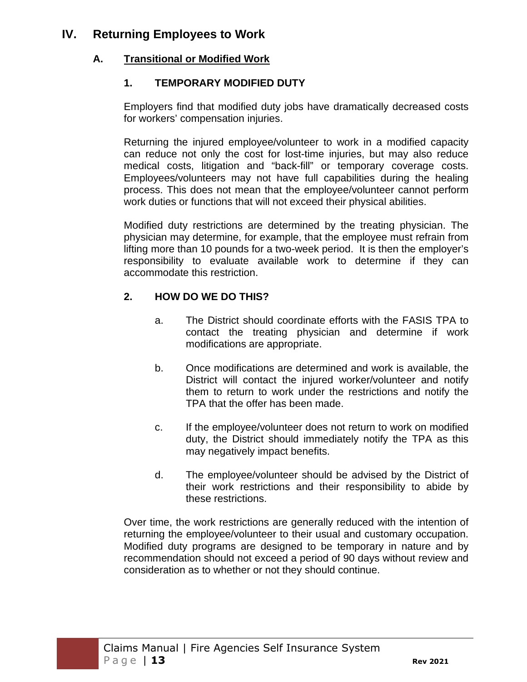# **IV. Returning Employees to Work**

# **A. Transitional or Modified Work**

# **1. TEMPORARY MODIFIED DUTY**

Employers find that modified duty jobs have dramatically decreased costs for workers' compensation injuries.

Returning the injured employee/volunteer to work in a modified capacity can reduce not only the cost for lost-time injuries, but may also reduce medical costs, litigation and "back-fill" or temporary coverage costs. Employees/volunteers may not have full capabilities during the healing process. This does not mean that the employee/volunteer cannot perform work duties or functions that will not exceed their physical abilities.

Modified duty restrictions are determined by the treating physician. The physician may determine, for example, that the employee must refrain from lifting more than 10 pounds for a two-week period. It is then the employer's responsibility to evaluate available work to determine if they can accommodate this restriction.

# **2. HOW DO WE DO THIS?**

- a. The District should coordinate efforts with the FASIS TPA to contact the treating physician and determine if work modifications are appropriate.
- b. Once modifications are determined and work is available, the District will contact the injured worker/volunteer and notify them to return to work under the restrictions and notify the TPA that the offer has been made.
- c. If the employee/volunteer does not return to work on modified duty, the District should immediately notify the TPA as this may negatively impact benefits.
- d. The employee/volunteer should be advised by the District of their work restrictions and their responsibility to abide by these restrictions.

Over time, the work restrictions are generally reduced with the intention of returning the employee/volunteer to their usual and customary occupation. Modified duty programs are designed to be temporary in nature and by recommendation should not exceed a period of 90 days without review and consideration as to whether or not they should continue.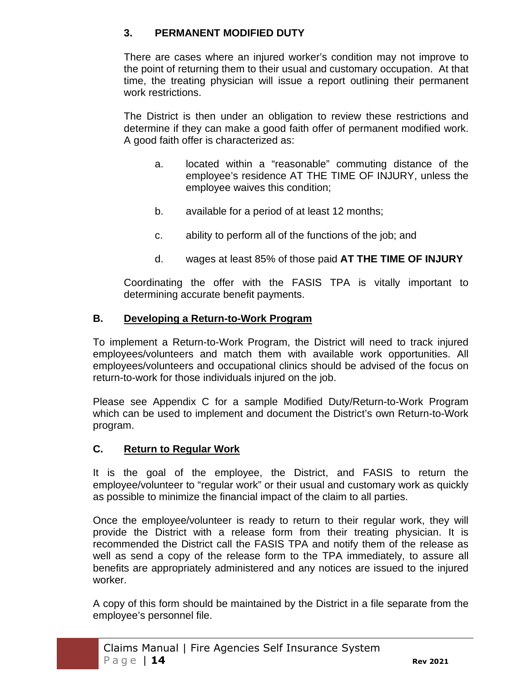### **3. PERMANENT MODIFIED DUTY**

There are cases where an injured worker's condition may not improve to the point of returning them to their usual and customary occupation. At that time, the treating physician will issue a report outlining their permanent work restrictions.

The District is then under an obligation to review these restrictions and determine if they can make a good faith offer of permanent modified work. A good faith offer is characterized as:

- a. located within a "reasonable" commuting distance of the employee's residence AT THE TIME OF INJURY, unless the employee waives this condition;
- b. available for a period of at least 12 months;
- c. ability to perform all of the functions of the job; and
- d. wages at least 85% of those paid **AT THE TIME OF INJURY**

Coordinating the offer with the FASIS TPA is vitally important to determining accurate benefit payments.

#### **B. Developing a Return-to-Work Program**

To implement a Return-to-Work Program, the District will need to track injured employees/volunteers and match them with available work opportunities. All employees/volunteers and occupational clinics should be advised of the focus on return-to-work for those individuals injured on the job.

Please see Appendix C for a sample Modified Duty/Return-to-Work Program which can be used to implement and document the District's own Return-to-Work program.

#### **C. Return to Regular Work**

It is the goal of the employee, the District, and FASIS to return the employee/volunteer to "regular work" or their usual and customary work as quickly as possible to minimize the financial impact of the claim to all parties.

Once the employee/volunteer is ready to return to their regular work, they will provide the District with a release form from their treating physician. It is recommended the District call the FASIS TPA and notify them of the release as well as send a copy of the release form to the TPA immediately, to assure all benefits are appropriately administered and any notices are issued to the injured worker.

A copy of this form should be maintained by the District in a file separate from the employee's personnel file.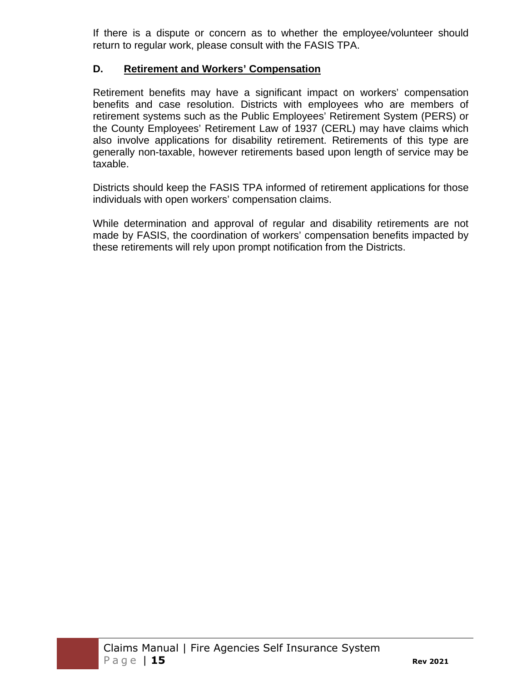If there is a dispute or concern as to whether the employee/volunteer should return to regular work, please consult with the FASIS TPA.

#### **D. Retirement and Workers' Compensation**

Retirement benefits may have a significant impact on workers' compensation benefits and case resolution. Districts with employees who are members of retirement systems such as the Public Employees' Retirement System (PERS) or the County Employees' Retirement Law of 1937 (CERL) may have claims which also involve applications for disability retirement. Retirements of this type are generally non-taxable, however retirements based upon length of service may be taxable.

Districts should keep the FASIS TPA informed of retirement applications for those individuals with open workers' compensation claims.

While determination and approval of regular and disability retirements are not made by FASIS, the coordination of workers' compensation benefits impacted by these retirements will rely upon prompt notification from the Districts.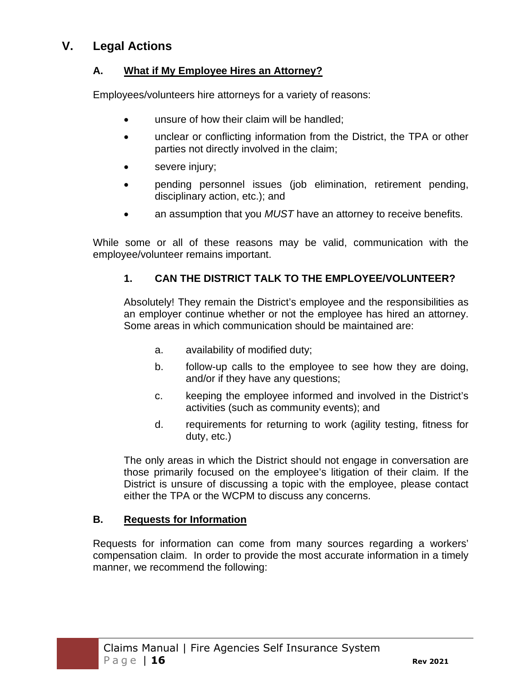# **V. Legal Actions**

### **A. What if My Employee Hires an Attorney?**

Employees/volunteers hire attorneys for a variety of reasons:

- unsure of how their claim will be handled:
- unclear or conflicting information from the District, the TPA or other parties not directly involved in the claim;
- severe injury;
- pending personnel issues (job elimination, retirement pending, disciplinary action, etc.); and
- an assumption that you *MUST* have an attorney to receive benefits.

While some or all of these reasons may be valid, communication with the employee/volunteer remains important.

### **1. CAN THE DISTRICT TALK TO THE EMPLOYEE/VOLUNTEER?**

Absolutely! They remain the District's employee and the responsibilities as an employer continue whether or not the employee has hired an attorney. Some areas in which communication should be maintained are:

- a. availability of modified duty;
- b. follow-up calls to the employee to see how they are doing, and/or if they have any questions;
- c. keeping the employee informed and involved in the District's activities (such as community events); and
- d. requirements for returning to work (agility testing, fitness for duty, etc.)

The only areas in which the District should not engage in conversation are those primarily focused on the employee's litigation of their claim. If the District is unsure of discussing a topic with the employee, please contact either the TPA or the WCPM to discuss any concerns.

#### **B. Requests for Information**

Requests for information can come from many sources regarding a workers' compensation claim. In order to provide the most accurate information in a timely manner, we recommend the following: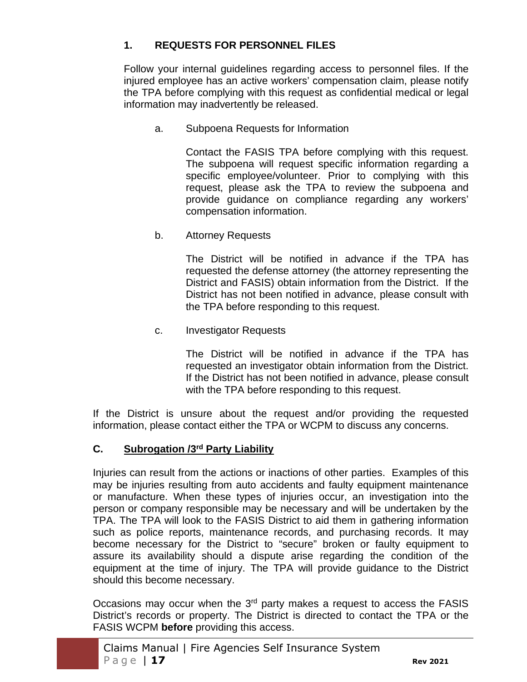# **1. REQUESTS FOR PERSONNEL FILES**

Follow your internal guidelines regarding access to personnel files. If the injured employee has an active workers' compensation claim, please notify the TPA before complying with this request as confidential medical or legal information may inadvertently be released.

a. Subpoena Requests for Information

Contact the FASIS TPA before complying with this request. The subpoena will request specific information regarding a specific employee/volunteer. Prior to complying with this request, please ask the TPA to review the subpoena and provide guidance on compliance regarding any workers' compensation information.

b. Attorney Requests

The District will be notified in advance if the TPA has requested the defense attorney (the attorney representing the District and FASIS) obtain information from the District. If the District has not been notified in advance, please consult with the TPA before responding to this request.

c. Investigator Requests

The District will be notified in advance if the TPA has requested an investigator obtain information from the District. If the District has not been notified in advance, please consult with the TPA before responding to this request.

If the District is unsure about the request and/or providing the requested information, please contact either the TPA or WCPM to discuss any concerns.

#### **C. Subrogation /3rd Party Liability**

Injuries can result from the actions or inactions of other parties. Examples of this may be injuries resulting from auto accidents and faulty equipment maintenance or manufacture. When these types of injuries occur, an investigation into the person or company responsible may be necessary and will be undertaken by the TPA. The TPA will look to the FASIS District to aid them in gathering information such as police reports, maintenance records, and purchasing records. It may become necessary for the District to "secure" broken or faulty equipment to assure its availability should a dispute arise regarding the condition of the equipment at the time of injury. The TPA will provide guidance to the District should this become necessary.

Occasions may occur when the 3<sup>rd</sup> party makes a request to access the FASIS District's records or property. The District is directed to contact the TPA or the FASIS WCPM **before** providing this access.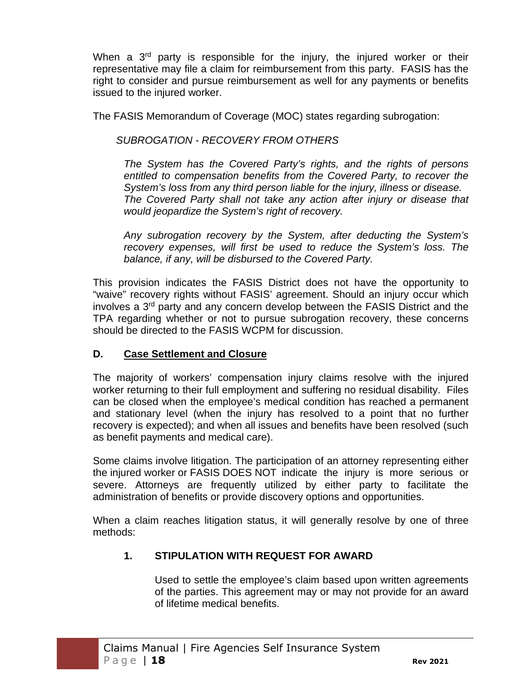When a 3<sup>rd</sup> party is responsible for the injury, the injured worker or their representative may file a claim for reimbursement from this party. FASIS has the right to consider and pursue reimbursement as well for any payments or benefits issued to the injured worker.

The FASIS Memorandum of Coverage (MOC) states regarding subrogation:

*SUBROGATION - RECOVERY FROM OTHERS* 

*The System has the Covered Party's rights, and the rights of persons entitled to compensation benefits from the Covered Party, to recover the System's loss from any third person liable for the injury, illness or disease. The Covered Party shall not take any action after injury or disease that would jeopardize the System's right of recovery.* 

*Any subrogation recovery by the System, after deducting the System's recovery expenses, will first be used to reduce the System's loss. The balance, if any, will be disbursed to the Covered Party.* 

This provision indicates the FASIS District does not have the opportunity to "waive" recovery rights without FASIS' agreement. Should an injury occur which involves a 3rd party and any concern develop between the FASIS District and the TPA regarding whether or not to pursue subrogation recovery, these concerns should be directed to the FASIS WCPM for discussion.

# **D. Case Settlement and Closure**

The majority of workers' compensation injury claims resolve with the injured worker returning to their full employment and suffering no residual disability. Files can be closed when the employee's medical condition has reached a permanent and stationary level (when the injury has resolved to a point that no further recovery is expected); and when all issues and benefits have been resolved (such as benefit payments and medical care).

Some claims involve litigation. The participation of an attorney representing either the injured worker or FASIS DOES NOT indicate the injury is more serious or severe. Attorneys are frequently utilized by either party to facilitate the administration of benefits or provide discovery options and opportunities.

When a claim reaches litigation status, it will generally resolve by one of three methods:

# **1. STIPULATION WITH REQUEST FOR AWARD**

Used to settle the employee's claim based upon written agreements of the parties. This agreement may or may not provide for an award of lifetime medical benefits.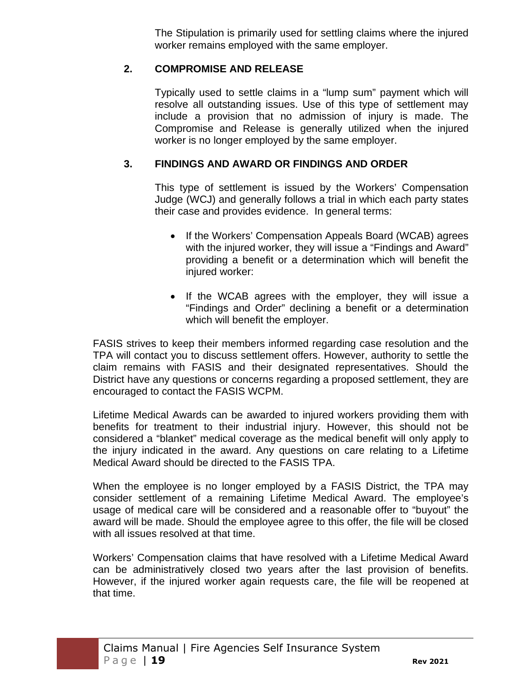The Stipulation is primarily used for settling claims where the injured worker remains employed with the same employer.

### **2. COMPROMISE AND RELEASE**

Typically used to settle claims in a "lump sum" payment which will resolve all outstanding issues. Use of this type of settlement may include a provision that no admission of injury is made. The Compromise and Release is generally utilized when the injured worker is no longer employed by the same employer.

### **3. FINDINGS AND AWARD OR FINDINGS AND ORDER**

This type of settlement is issued by the Workers' Compensation Judge (WCJ) and generally follows a trial in which each party states their case and provides evidence. In general terms:

- If the Workers' Compensation Appeals Board (WCAB) agrees with the injured worker, they will issue a "Findings and Award" providing a benefit or a determination which will benefit the injured worker:
- If the WCAB agrees with the employer, they will issue a "Findings and Order" declining a benefit or a determination which will benefit the employer.

FASIS strives to keep their members informed regarding case resolution and the TPA will contact you to discuss settlement offers. However, authority to settle the claim remains with FASIS and their designated representatives. Should the District have any questions or concerns regarding a proposed settlement, they are encouraged to contact the FASIS WCPM.

Lifetime Medical Awards can be awarded to injured workers providing them with benefits for treatment to their industrial injury. However, this should not be considered a "blanket" medical coverage as the medical benefit will only apply to the injury indicated in the award. Any questions on care relating to a Lifetime Medical Award should be directed to the FASIS TPA.

When the employee is no longer employed by a FASIS District, the TPA may consider settlement of a remaining Lifetime Medical Award. The employee's usage of medical care will be considered and a reasonable offer to "buyout" the award will be made. Should the employee agree to this offer, the file will be closed with all issues resolved at that time.

Workers' Compensation claims that have resolved with a Lifetime Medical Award can be administratively closed two years after the last provision of benefits. However, if the injured worker again requests care, the file will be reopened at that time.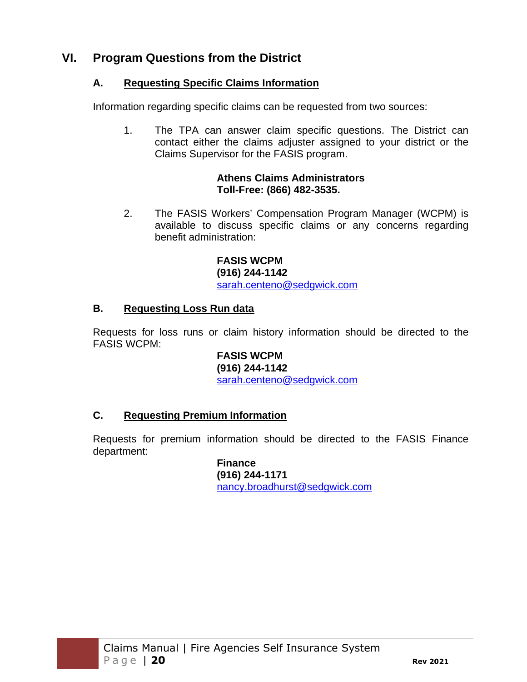# **VI. Program Questions from the District**

### **A. Requesting Specific Claims Information**

Information regarding specific claims can be requested from two sources:

1. The TPA can answer claim specific questions. The District can contact either the claims adjuster assigned to your district or the Claims Supervisor for the FASIS program.

#### **Athens Claims Administrators Toll-Free: (866) 482-3535.**

2. The FASIS Workers' Compensation Program Manager (WCPM) is available to discuss specific claims or any concerns regarding benefit administration:

> **FASIS WCPM (916) 244-1142**  sarah.centeno@sedgwick.com

### **B. Requesting Loss Run data**

Requests for loss runs or claim history information should be directed to the FASIS WCPM:

> **FASIS WCPM (916) 244-1142**  sarah.centeno@sedgwick.com

# **C. Requesting Premium Information**

Requests for premium information should be directed to the FASIS Finance department:

> **Finance (916) 244-1171**  nancy.broadhurst@sedgwick.com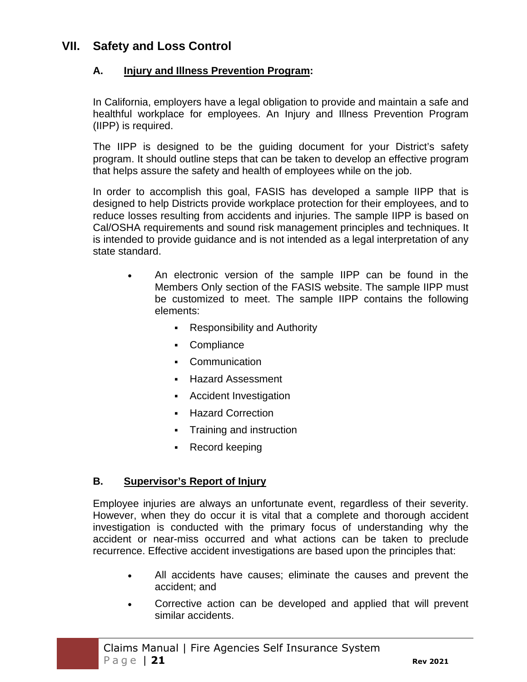# **VII. Safety and Loss Control**

### **A. Injury and Illness Prevention Program:**

In California, employers have a legal obligation to provide and maintain a safe and healthful workplace for employees. An Injury and Illness Prevention Program (IIPP) is required.

The IIPP is designed to be the guiding document for your District's safety program. It should outline steps that can be taken to develop an effective program that helps assure the safety and health of employees while on the job.

In order to accomplish this goal, FASIS has developed a sample IIPP that is designed to help Districts provide workplace protection for their employees, and to reduce losses resulting from accidents and injuries. The sample IIPP is based on Cal/OSHA requirements and sound risk management principles and techniques. It is intended to provide guidance and is not intended as a legal interpretation of any state standard.

- An electronic version of the sample IIPP can be found in the Members Only section of the FASIS website. The sample IIPP must be customized to meet. The sample IIPP contains the following elements:
	- Responsibility and Authority
	- Compliance
	- **Communication**
	- Hazard Assessment
	- Accident Investigation
	- Hazard Correction
	- Training and instruction
	- Record keeping

#### **B. Supervisor's Report of Injury**

Employee injuries are always an unfortunate event, regardless of their severity. However, when they do occur it is vital that a complete and thorough accident investigation is conducted with the primary focus of understanding why the accident or near-miss occurred and what actions can be taken to preclude recurrence. Effective accident investigations are based upon the principles that:

- All accidents have causes; eliminate the causes and prevent the accident; and
- Corrective action can be developed and applied that will prevent similar accidents.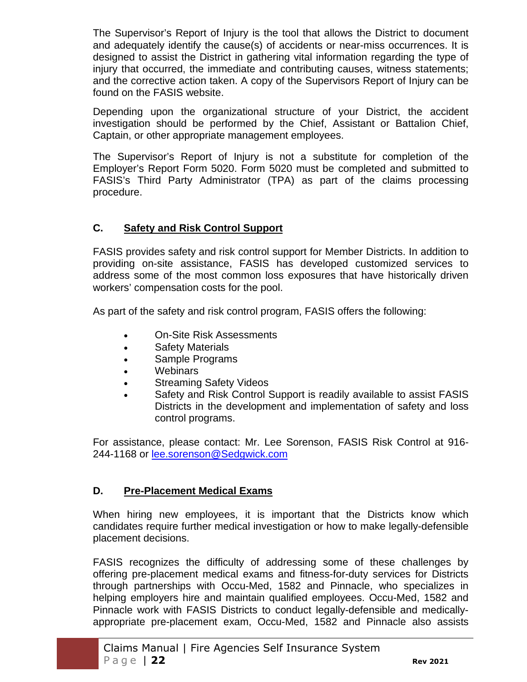The Supervisor's Report of Injury is the tool that allows the District to document and adequately identify the cause(s) of accidents or near-miss occurrences. It is designed to assist the District in gathering vital information regarding the type of injury that occurred, the immediate and contributing causes, witness statements; and the corrective action taken. A copy of the Supervisors Report of Injury can be found on the FASIS website.

Depending upon the organizational structure of your District, the accident investigation should be performed by the Chief, Assistant or Battalion Chief, Captain, or other appropriate management employees.

The Supervisor's Report of Injury is not a substitute for completion of the Employer's Report Form 5020. Form 5020 must be completed and submitted to FASIS's Third Party Administrator (TPA) as part of the claims processing procedure.

### **C. Safety and Risk Control Support**

FASIS provides safety and risk control support for Member Districts. In addition to providing on-site assistance, FASIS has developed customized services to address some of the most common loss exposures that have historically driven workers' compensation costs for the pool.

As part of the safety and risk control program, FASIS offers the following:

- On-Site Risk Assessments
- Safety Materials
- Sample Programs
- Webinars
- Streaming Safety Videos
- Safety and Risk Control Support is readily available to assist FASIS Districts in the development and implementation of safety and loss control programs.

For assistance, please contact: Mr. Lee Sorenson, FASIS Risk Control at 916- 244-1168 or lee.sorenson@Sedgwick.com

#### **D. Pre-Placement Medical Exams**

When hiring new employees, it is important that the Districts know which candidates require further medical investigation or how to make legally-defensible placement decisions.

FASIS recognizes the difficulty of addressing some of these challenges by offering pre-placement medical exams and fitness-for-duty services for Districts through partnerships with Occu-Med, 1582 and Pinnacle, who specializes in helping employers hire and maintain qualified employees. Occu-Med, 1582 and Pinnacle work with FASIS Districts to conduct legally-defensible and medicallyappropriate pre-placement exam, Occu-Med, 1582 and Pinnacle also assists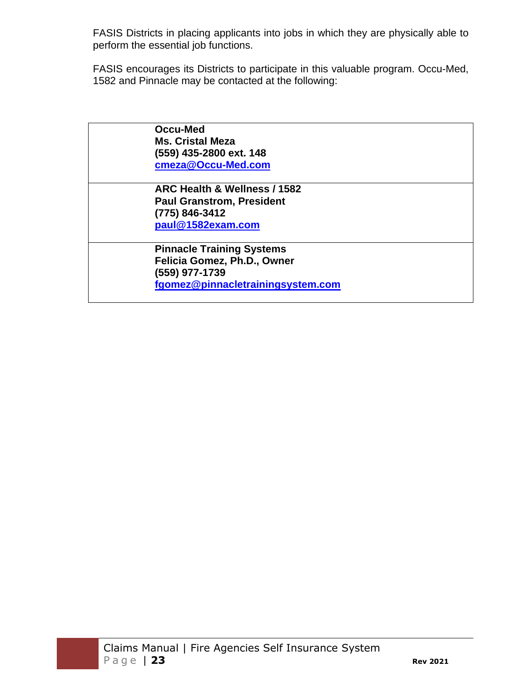FASIS Districts in placing applicants into jobs in which they are physically able to perform the essential job functions.

FASIS encourages its Districts to participate in this valuable program. Occu-Med, 1582 and Pinnacle may be contacted at the following:

| Occu-Med                |                                   |
|-------------------------|-----------------------------------|
| <b>Ms. Cristal Meza</b> |                                   |
| (559) 435-2800 ext. 148 |                                   |
| cmeza@Occu-Med.com      |                                   |
|                         | ARC Health & Wellness / 1582      |
|                         | <b>Paul Granstrom, President</b>  |
| (775) 846-3412          |                                   |
| paul@1582exam.com       |                                   |
|                         | <b>Pinnacle Training Systems</b>  |
|                         | Felicia Gomez, Ph.D., Owner       |
| (559) 977-1739          |                                   |
|                         | fgomez@pinnacletrainingsystem.com |
|                         |                                   |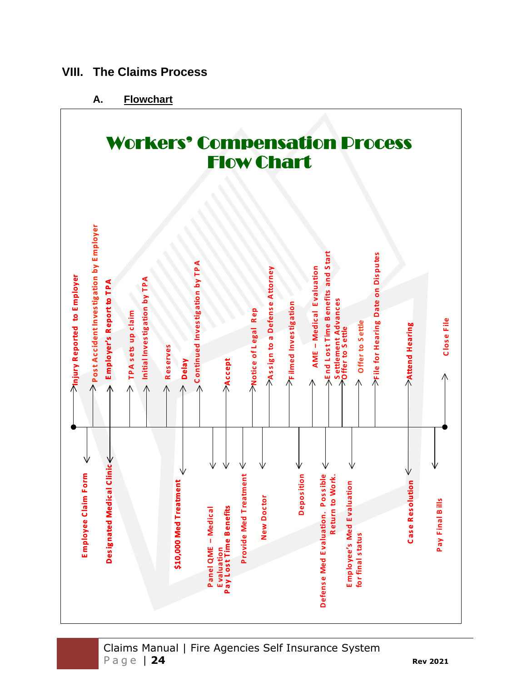

**VIII. The Claims Process**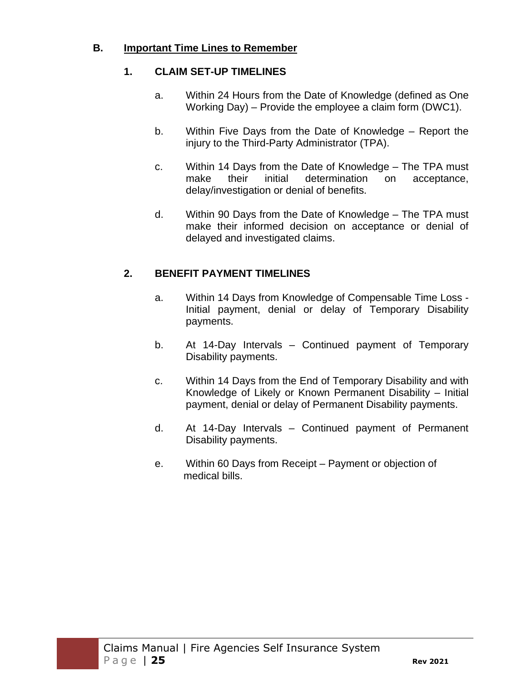#### **B. Important Time Lines to Remember**

#### **1. CLAIM SET-UP TIMELINES**

- a. Within 24 Hours from the Date of Knowledge (defined as One Working Day) – Provide the employee a claim form (DWC1).
- b. Within Five Days from the Date of Knowledge Report the injury to the Third-Party Administrator (TPA).
- c. Within 14 Days from the Date of Knowledge The TPA must make their initial determination on acceptance, delay/investigation or denial of benefits.
- d. Within 90 Days from the Date of Knowledge The TPA must make their informed decision on acceptance or denial of delayed and investigated claims.

### **2. BENEFIT PAYMENT TIMELINES**

- a. Within 14 Days from Knowledge of Compensable Time Loss Initial payment, denial or delay of Temporary Disability payments.
- b. At 14-Day Intervals Continued payment of Temporary Disability payments.
- c. Within 14 Days from the End of Temporary Disability and with Knowledge of Likely or Known Permanent Disability – Initial payment, denial or delay of Permanent Disability payments.
- d. At 14-Day Intervals Continued payment of Permanent Disability payments.
- e. Within 60 Days from Receipt Payment or objection of medical bills.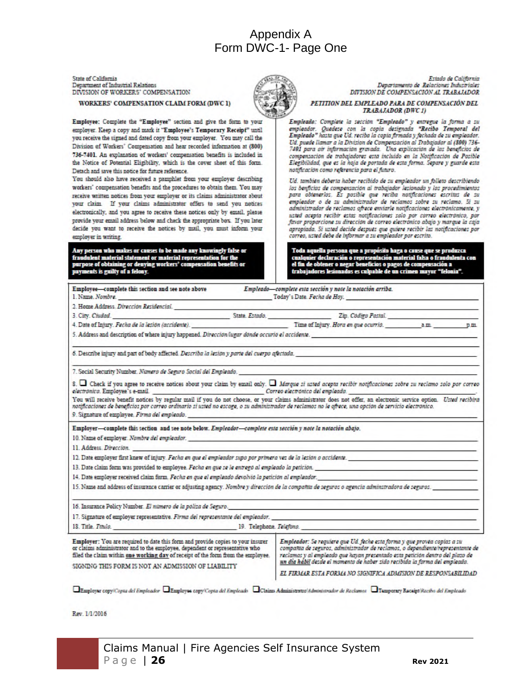# Appendix A Form DWC-1- Page One

State of California Department of Industrial Relations DIVISION OF WORKERS' COMPENSATION

WORKERS' COMPENSATION CLAIM FORM (DWC 1)



Employee: Complete the "Employee" section and give the form to your employer. Keep a copy and mark it "Employee's Temporary Receipt" until you receive the signed and dated copy from your employer. You may call the Division of Workers' Compensation and hear recorded information at (800) 736-7401. An explanation of workers' compensation benefits is included in the Notice of Potential Eligibility, which is the cover sheet of this form. Detach and save this notice for future reference.

You should also have received a pamphlet from your employer describing workers' compensation benefits and the procedures to obtain them. You may receive written notices from your employer or its claims administrator about your claim. If your claims administrator offers to send you notices electronically, and you agree to receive these notices only by email, please provide your email address below and check the appropriate box. If you later decide you want to receive the notices by mail, you must inform your employer in writing.

Any person who makes or causes to be made any knowingly false or ent material statement or material representation for th fra ng or denying workers' compensation ben se of obta ats is guilty of a felony.

Estado de California Denartamento de Relaciones Industriales DIVISION DE COMPENSACIÓN AL TRABAJADOR

PETITION DEL EMPLEADO PARA DE COMPENSACIÓN DEL TRABAJADOR (DWC1)

Empleado: Complete la sección "Empleado" y entregue la forma a su empleador. Quedese con la copia designada "Recibo Temporal del<br>Empleado" hasta que Ud, reciba la copia firmada y fechada de su empleador. Ud. puede llamar a la Division de Compensación al Trabajador al (800) 736-<br>7401 para oir información gravada. Una explicación de los beneficios de compensación de trabajadores esta incluido en la Notificación de Posible Elegibilidad, que es la hoja de portada de esta forma. Separe y guarde esta notificación como referencia para el funcro.

Ud. también deberta haber recibido de su empleador un folleto describiendo los benficios de compensación al trabajador lesionado y los procedimientos para obtenerlos. Es posible que reciba notificaciones escritas de su empleador o de su administrador de reclamos sobre su reclamo. Si su administrador de reclamos ofrece enviarie notificaciones electronicamente, y usted acepta recibir estas notificaciones solo por correo electrónico, por favor proporcione su dirección de correo electrónico abajo y marque la caja apropiada. Si uzted decide después que quiere recibir las notificaciones por correo, usted debe de informar a su empleador por escrito.

Toda aquella persona que a propósito haga o cause que se produzca<br>cualquier declaración o representación material falsa o frandulenta con r declaración o represen ner o negar beneficios o pagos de compensaci ia a os es culpable de un crimen mayor "felo

| Employee—complete this section and see note above Empleado—complete esta sección y note la notación arriba.<br>1. Name. Nombre. Today's Date. Fecha de Hoy.                                                                                                                                                                                                                                               |                                                                                                                                                                                                                                                                                                                                                                                             |  |
|-----------------------------------------------------------------------------------------------------------------------------------------------------------------------------------------------------------------------------------------------------------------------------------------------------------------------------------------------------------------------------------------------------------|---------------------------------------------------------------------------------------------------------------------------------------------------------------------------------------------------------------------------------------------------------------------------------------------------------------------------------------------------------------------------------------------|--|
| 2. Home Address, Dirección Residencial.                                                                                                                                                                                                                                                                                                                                                                   |                                                                                                                                                                                                                                                                                                                                                                                             |  |
|                                                                                                                                                                                                                                                                                                                                                                                                           |                                                                                                                                                                                                                                                                                                                                                                                             |  |
| 4. Date of Injury. Fecha de la lesión (accidente). Time of Injury. Hora en que ocurrio. Annun a manuel punity. Hora en que ocurrio. Annun a manuel punity and the punity of the state of the punity of the state of the state                                                                                                                                                                             |                                                                                                                                                                                                                                                                                                                                                                                             |  |
| 5. Address and description of where injury happened. Direccion fugar donde occurio el accidente.                                                                                                                                                                                                                                                                                                          |                                                                                                                                                                                                                                                                                                                                                                                             |  |
| 6. Describe injury and part of body affected. Describa la lesion y parte del cuerpo afectada.                                                                                                                                                                                                                                                                                                             |                                                                                                                                                                                                                                                                                                                                                                                             |  |
| 7. Social Security Number. Numero de Seguro Social del Empleado.                                                                                                                                                                                                                                                                                                                                          |                                                                                                                                                                                                                                                                                                                                                                                             |  |
| $s.$ $\Box$ Check if you agree to receive notices about your claim by email only. $\Box$ Marque si usted acepta recibir notificaciones sobre su reclamo solo por correo<br>electronico. Employee's e-mail correction and correction control correction of the exploration of the correction of the correction of the correction of the correction of the correction of the correction of the correction o |                                                                                                                                                                                                                                                                                                                                                                                             |  |
| You will receive benefit notices by regular mail if you do not choose, or your claims administrator does not offer, an electronic service option. Usted recibira<br>notificaciones de beneficios por correo ordinario si usted no escoge, o su administrador de reclamos no le ofrece, una opción de servicio electrónico.<br>9. Signature of employee. Firma del empleado.                               |                                                                                                                                                                                                                                                                                                                                                                                             |  |
| Employer-complete this section and see note below. Empleador-complete esta sección y note la notación abajo.                                                                                                                                                                                                                                                                                              |                                                                                                                                                                                                                                                                                                                                                                                             |  |
| 10. Name of employer. Nambre del emploador. experience and a series of the series of employer. Name of employers and a series of the series of the series of the series of the series of the series of the series of the serie                                                                                                                                                                            |                                                                                                                                                                                                                                                                                                                                                                                             |  |
| 11. Address. <i>Direccion.</i> Annual Contraction of the contract of the contract of the contract of the contract of the contract of the contract of the contract of the contract of the contract of the contract of the contract o                                                                                                                                                                       |                                                                                                                                                                                                                                                                                                                                                                                             |  |
| 12. Date employer first knew of injury. Fecha en que el empleador supo por primera vez de la lesión o accidente.                                                                                                                                                                                                                                                                                          |                                                                                                                                                                                                                                                                                                                                                                                             |  |
| 13. Date claim form was provided to employee. Fecha en que se le entrego al empleado la petición.                                                                                                                                                                                                                                                                                                         |                                                                                                                                                                                                                                                                                                                                                                                             |  |
| 14. Date employer received claim form. Fecha en que el empleado devolvió la petición al empleador.                                                                                                                                                                                                                                                                                                        |                                                                                                                                                                                                                                                                                                                                                                                             |  |
| 15. Name and address of insurance carrier or adjusting agency. Nombre y direccion de la compañía de seguros o agencia adminstradora de seguros.                                                                                                                                                                                                                                                           |                                                                                                                                                                                                                                                                                                                                                                                             |  |
| 16. Insurance Policy Number. El numero de la poliza de Seguro.                                                                                                                                                                                                                                                                                                                                            |                                                                                                                                                                                                                                                                                                                                                                                             |  |
| 17. Signature of employer representative. Firma del representante del empleador.                                                                                                                                                                                                                                                                                                                          |                                                                                                                                                                                                                                                                                                                                                                                             |  |
|                                                                                                                                                                                                                                                                                                                                                                                                           |                                                                                                                                                                                                                                                                                                                                                                                             |  |
| Employer: You are required to date this form and provide copies to your insurer<br>or claims administrator and to the employee, dependent or representative who<br>filed the claim within one working day of receipt of the form from the employee.<br>SIGNING THIS FORM IS NOT AN ADMISSION OF LIABILITY                                                                                                 | Empleador: Se requiere que Ud. feche esta forma y que provéa copias a su<br>compañía de seguros, administrador de reclamos, o dependiente/representante de<br>reclamas y al empleado que hayan presentado esta petición dentro del plazo de<br>un dia habil desde el momento de haber sido recibida la forma del empleado.<br>EL FIRMAR ESTA FORMA NO SIGNIFICA ADMISION DE RESPONSABILIDAD |  |

□ Employer copy/Copia del Empleador □ Employee copy/Copia del Empleado □ Claims Administrator//desint stracker de Reclamor □ Temporary Receipt/Recibo del Empleado

Rev. 1/1/2016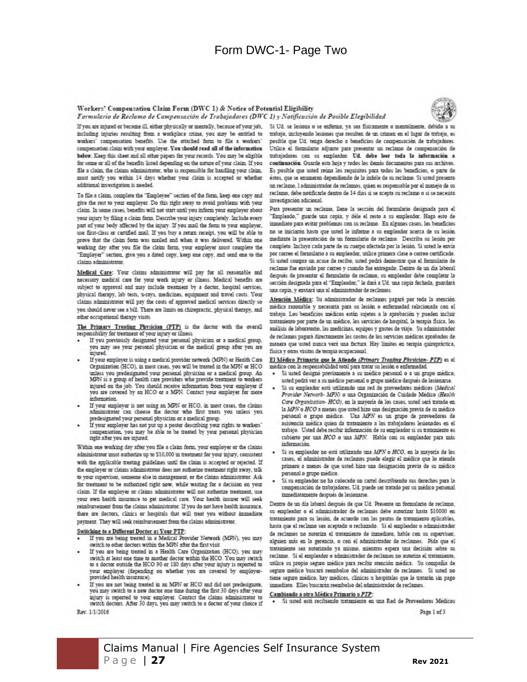#### Form DWC-1- Page Two

#### Workers' Compensation Claim Form (DWC 1) & Notice of Potential Eligibility

Formulario de Reclamo de Compensación de Trabajadores (DWC 1) y Notificación de Posible Elegibilidad



If you are injured or became ill, either physically or mentally, hecause of your job, including injuries resulting from a workplace crime, you may be entitled to workers' compensation benefits. Use the attached form to file a workers' compensation claim with your employer. You should read all of the information below. Keep this sheet and all other papers for your records. You may be eligible for some or all of the benefits listed depending on the nature of your claim. If you file a claim, the claims administrator, who is responsible for handling your claim, must notify you within 14 days whether your claim is accepted or whether additional investigation is needed.

To file a claim, complete the "Employee" section of the form, keep one copy and give the rest to your employer. Do this right away to avoid problems with your claim. In some cases, benefits will not start until you inform your employer about your injury by filing a claim form. Describe your injury completely. Include every part of your body affected by the injury. If you mail the form to your employer, use first-class or certified mail. If you buy a return receipt, you will be able to prove that the claim form was mailed and when it was delivered. Within one working day after you file the claim form, your employer must complete the "Employer" section, give you a dated copy, keep one copy, and send one to the claims administrator.

Medical Care: Your claims administrator will pay for all reasonable and necessary medical care for your work injury or illness. Medical benefits are subject to approval and may include treatment by a doctor, hospital services, physical therapy, lab tests, x-rays, medicines, equipment and travel costs. Your claims administrator will pay the costs of approved medical services directly so you should never see a bill. There are limits on chiropractic, physical therapy, and other occupational therapy visits

The Primary Treating Physician (PTP) is the doctor with the overall responsibility for treatment of your injury or illness.

- If you previously designated your personal physician or a medical group, you may see your personal physician or the medical group after you are injured.
- If your employer is using a medical provider network (MPN) or Health Care Organization (HCO), in most cases, you will be treated in the MPN or HCO unless you predesignated your personal physician or a medical group. An MPN is a group of health care providers who provide treatment to workers injured on the job. You should receive information from your employer if you are covered by an HCO or a MPN. Contact your employer for more information.
- If your employer is not using an MPN or HCO, in most cases, the claims administrator can choose the doctor who first treats you unless you predesignated your personal physician or a medical group.
- If your employer has not put up a poster describing your rights to workers' compensation, you may be able to be treated by your personal physician neht after you are injured.

Within one working day after you file a claim form, your employer or the claims administrator must authorize up to \$10,000 in treatment for your injury, consistent with the applicable treating guidelines until the claim is accepted or rejected. If the employer or claims administrator does not authorize treatment right away, talk to your supervisor, someme else in management, or the claims administrator. Ask for treatment to be authorized right now, while waiting for a decision on your claim. If the employer or claims administrator will not authorize treatment, use your own health insurance to get medical care. Your health insurer will seek reinitursement from the claims administrator. If you do not have bealth insurance, there are doctors, clinics or hospitals that will treat you without immediate payment. They will seek reimbursement from the claims administrator.

#### Switching to a Different Doctor as Your PTP:

If you are being treated in a Medical Provider Network (MPN), you may switch to other doctors within the MPN after the first visit

- If you are being treated in a Health Care Organization (HCO), you may switch at least one time to another doctor within the HCO. You may switch to a doctor outside the HCO 90 or 180 days after your injury is reported to your employer (depending on whether you are covered by employerprovided health insurance).
- If you are not being treated in an MPN or HCO and did not predesignate, you may switch to a new doctor one time during the first 30 days after your injury is reported to your employer. Contact the claims administrator to switch doctors. After 30 days, you may switch to a doctor of your choice if Rev. 1/1/2016

Si Ud. se lesiona o se enferma, ya sea fisicamente o mentalmente, débido a su trabajo, incluyendo lesiones que resulten de un crimen en el higar de trabajo, es posible que Ud. tenga derecho a beneficias de compensación de trabajadares. Utilice el formulario adjunto para presentar un reclamo de compensación de tratajadares con su empleador. Ud. debe leer toda la información a continuación. Guarde esta hoja y todos los demás documentos para sus archivos. Es posible que usted reúna los requisitos para todas los beneficios, o parte de éstos, que se enumeran dependiendo de la indole de su reclamo. Si usted presentaun reclamo, l'administrador de reclamos, quien es responsable por el manejo de su reclamo, debe notificarle dentro de 14 dias si se acepta su reclamo o si se necesita investigacion adicional.

Para presentar un reclamo. Dene la sección del formulario designada para el "Empleado," guarde una copia, y dèle el resto a su empleador. Haga esto de inmediato para evitar problemas con su reclamo. En algunos casos, los beneficios no se iniciarán hasta que usted le informe a su empleador acerca de su lesión mediante la presentación de un formulario de reclamo. Descritra su leción pur completo Incluya cada parte de su cuerpo afectada por la lesión. Si usted le envía por correu el formulario a su empleador, utilice primera clase o correo certificado. Si ustad compra un acuse de recibo, ustad podrá demostrar que el formulario de reclamo fue enviado por correo y cuando fue entregado. Dentro de un dia laboral después de presentar el formulario de reclamo, su empleador debe completar la sección designada para el "Empleador," le dará a Ud. una copia fechada, guardará una copia, y enviará una al administrador de reclamos

Atención Médica: Su administrador de reclamos pagará por toda la atención médica razonable y necesaria para su lesión o enfermedad relacionada con el trabajo. Los beneficios médicos están sujetos a la aprobación y pueden incluir tratamiento por parte de un médico, los servicios de hospital, la terapia física, los analisis de laboratorio, las medicinas, equipos y gastos de viaje. Su administrador de reclamos pagará directamente los costos de los servicios médicos aprobados de manera que usted nunca vera una factura. Hay limites en terapia quiropráctica, física y otras visitas de terapia ocupacional

El Médico Primario que le Atiende (Primary Treating Physician- PTP) es el medico con la responsabilidad total para tratar su lesión o enfermedad.

- Si usted designo previamente a su medico personal o a un grupo medico, usted podrá ver a su médico personal o grupo médico después de lesionarse.
- Si su empleador está utilizando una red de proveedores médicos (Medical Provider Network- MPN) o una Organización de Cuidado Médico (Health Care Organization- HCO), en la mayoría de los casos, usted será tratado en la MPN o HCO a menos que usted hizo una designación previa de su médico personal o grupo medico. Una MPN es un grupo de proveedores de asistencia medica quien da tratamiento a los trabajadores lesionados en el trabajo. Usted debe recibir información de su empleador si su tratamiento es cubierto por una HCO o una MPN. Hable con su empleador para más información.
- Si su empleador no está utilizando una MPN o HCO, en la mayoría de los casos, el administrador de reclamos puede elegir el médico que lo atiende primero a menos de que usted hizo una designación previa de su médico personal o grupo medico.
- Si su empleador no ha colocado un cartel describiendo sus derechos para la compensación de trabajadores. Ud. puede ser tratado por su médico personal inmediatamente después de lesionarse.

Dentro de un día laboral después de que Ud. Presente un formulario de reclamo, su empleador o el administrador de reclamos debe autorizar hasta \$10000 en tratamiento para su lesión, de acuerdo con las pautas de tratamiento aplicables, hasta que el reclamo sea aceptado o rechazado. Si el empleador o administrador de reclamos no autoriza el tratamiento de inmediato, hable con su supervisor, alguien más en la gerencia, o con el administrador de reclamos. Pida que el tratamiento sea autorizado ya mismo, mientras espera una decisión sobre su reclamo. Si el empleador o administrador de reclamos no autoriza el tratamiento, utilice su propio seguro medico para recibir atención medica. Su compañía de seguro médico buscará reembolso del administrador de reclamos. Si usted no tiene seguro médico, hay médicos, clínicas u hospitales que lo tratarán sin pago inmediato. Ellos buscarán reembolso del administrador de reclamos.

#### Cambiando a otro Médico Primario o PTP:

Si usted está recibiendo tratamiento en una Red de Proveedores Médicos

Page 1 of 3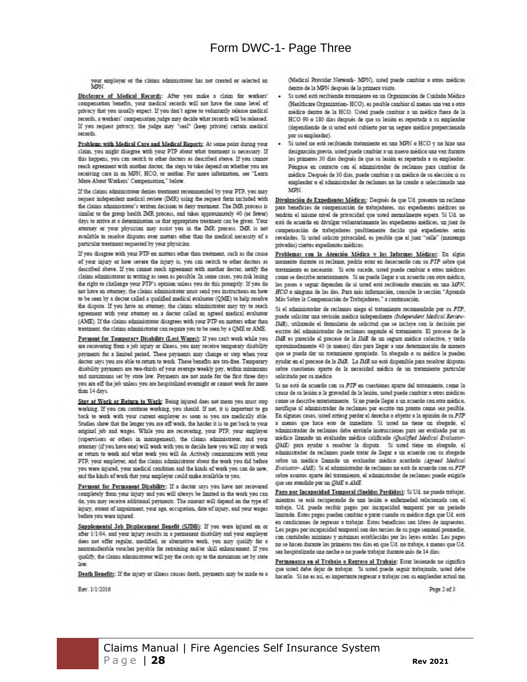your employer or the claims administrator has not created or selected an MPN.

Disclosure of Medical Records: After you make a claim for workers' compensation benefits, your medical records will not have the same level of privacy that you usually expect. If you don't agree to voluntarily release medical records, a workers' compensation judge may decide what records will be released. If you request privacy, the judge may "seal" (keep private) certain medical records

Problems with Medical Care and Medical Reports: At some point during your claim, you might disagree with your PTP about what treatment is necessary. If this happens, you can switch to other doctors as described above. If you cannot reach agreement with another doctor, the steps to take depend on whether you are receiving care in an MPN, HCO, or neither. For more information, see "Learn More About Workers' Compensation," below.

If the claims administrator denies treatment recommended by your PTP, you may request independent medical review (IMR) using the request form included with the claims administrator's written decision to deny treatment. The IMR process is similar to the group health IMR process, and takes approximately 40 (or fewer) days to arrive at a determination so that appropriate treatment can be given. Your attorney or your physician may assist you in the IMR process. IMR is not available to resolve disputes over matters other than the medical necessity of a particular treatment requested by your physician.

If you disagree with your PTP on matters other than treatment, such as the cause of your injury or how severe the injury is, you can switch to other doctors as described above. If you cannot reach agreement with another doctor, notify the claims administrator in writing as soon as possible. In some cases, you risk losing the right to challenge your PTP's opinion unless you do this promptly. If you do not have an attorney, the claims administrator must send you instructions on how to be seen by a doctor called a qualified medical evaluator (QME) to help resolve the dispute. If you have an attorney, the claims administrator may try to reach agreement with your attorney on a doctor called an agreed medical evaluator (AME). If the claims administrator disagrees with your PTP on matters other than treatment, the claims administrator can require you to be seen by a QME or AME.

Payment for Temporary Disability (Lost Wages): If you can't work while you are recovering from a job injury or illness, you may receive temporary disability payments for a limited period. These payments may change or stop when your doctor says you are able to return to work. These benefits are tax-free. Temporary disability payments are two-thirds of your average weekly pay, within minimums and maximums set by state law. Payments are not made for the first three days you are off the job unless you are hospitalized overnight or cannot work for more than 14 days

Stav at Work or Return to Work: Being injured does not mean you must stop working. If you can continue working, you should. If not, it is important to go back to work with your current employer as soon as you are medically able. Studies show that the longer you are off work, the harder it is to get back to your original job and wages. While you are recovering, your PTP, your employer (supervisors or others in management), the claims administrator, and your attorney (if you have one) will work with you to decide how you will stay at work or return to work and what work you will do. Actively communicate with your PTP, your employer, and the claims administrator about the work you did before you were injured, your medical condition and the kinds of work you can do now, and the kinds of work that your employer could make available to you.

Payment for Permanent Disability: If a doctor says you have not recovered completely from your injury and you will always be limited in the work you can do, you may receive additional payments. The amount will depend on the type of injury, extent of impairment, your age, occupation, date of injury, and your wages before you were injured.

Supplemental Job Displacement Benefit (SJDB): If you were injured on or after 1/1/04, and your injury results in a permanent disability and your employer does not offer regular, modified, or alternative work, you may qualify for a nontransferable voucher payable for retraining and/or skill enhancement. If you qualify, the claims administrator will pay the costs up to the maximum set by state law

Death Benefits: If the injury or illness causes death, payments may be made to a

Rev. 1/1/2016

(Medical Provider Network- MPN), usted puede cambiar a otros médicos dentro de la MPN después de la primera visita.

- Si usted está recibiendo tratamiento en un Organización de Cuidado Médico (Healthcare Organization- HCO), es posible cambiar al menos una vez a otro médico dentro de la HCO. Ustad puede cambiar a un médico fuera de la HCO 90 o 180 días después de que su lesión es reportada a su empleador (dependiendo de si usted está cubierto por un seguro médico proporcionado por su empleador).
- Si usted no está recibiendo tratamiento en una MPN o HCO y no hizo una designación previa, usted puede cambiar a un nuevo médico una vez durante los primeros 30 días después de que su lesión es reportada a su empleador. Póngase en contacto con el administrador de reclamos para cambiar de médico. Después de 30 días, puede cambiar a un médico de su elección si su empleador o el administrador de reclamos no ha creado o seleccionado una **MDN**

Divulgación de Expedientes Médicos: Después de que Ud. presente un reclamo para beneficios de compensación de trabajadores, sus expedientes médicos no tendran el mismo nivel de privacidad que usted normalmente espera. Si Ud. no está de acuerdo en divulgar voluntariamente los expedientes médicos, un juez de compensación de trabajadores posiblemente decida que expedientes serán revelados. Si usted solicita privacidad, es posible que el juez "selle" (mantenga privados) ciertos expedientes médicos.

Problemas con la Atención Médica y los Informes Médicos: En algún momento durante su reclamo, podria estar en desacuerdo con su PTP sobre qué tratamiento es necesario. Si esto sucede, usted puede cambiar a otros médicos como se describe anteriormente. Si no puede llegar a un acuerdo con otro médico, los pasos a seguir dependen de si usted está recibiendo atención en una MPN, HCO o ninguna de las dos. Para más información, consulte la sección "Aprenda" Más Sobre la Compensación de Trabajadores," a continuación.

Si el administrador de reclamos niega el tratamiento recomendado por su PTP, puede solicitar una revisión médica independiente (Independent Medical Review-IMR), utilizando el formulario de solicitud que se incluye con la decisión por escrito del administrador de reclamos negando el tratamiento. El proceso de la IMR es parecido al proceso de la IMR de un seguro médico colectivo, y tarda aproximadamente 40 (o menos) días para llegar a una determinación de manera que se pueda dar un tratamiento apropiado. Su abogado o su médico le pueden ayudar en el proceso de la IMR. La IMR no está disponible para resolver disputas sobre cuestiones aparte de la necesidad médica de un tratamiento particular solicitado por su medico.

Si no está de acuerdo con su PTP en cuestiones aparte del tratamiento, como la causa de su lesión o la gravedad de la lesión, usted puede cambiar a otros médicos como se describe anteriormente. Si no puede llegar a un acuerdo con otro médico. notifique al administrador de reclamos por escrito tan pronto como sea posible. En algunos casos, usted arriesg perder el derecho a objetar a la opinión de su PTP a menos que hace esto de inmediato. Si usted no tiene un abogado, el administrador de reclamos debe enviarle instrucciones para ser evaluado por un medico llamado un evaluador medico calificado (Qualified Medical Evaluator-QME) para ayudar a resolver la disputa. Si usted tiene un abogado, el administrador de reclamos puede tratar de llegar a un acuerdo con su abogado sobre un médico llamado un evaluador médico acordado (Agreed Medical Evaluator- AME). Si el administrador de reclamos no está de acuerdo con su PTP sobre asuntos aparte del tratamiento, el administrador de reclamos puede exigirle que sea atendido por un QME o AME.

Pago por Incapacidad Temporal (Sueldos Perdidos): Si Ud. no puede trabajar, mientras se está recuperando de una lesión o enfermedad relacionada con el trattajo. Ud puede recibir pagos por incapacidad temporal por un periodo limitado. Estos pagos pueden cambiar o parar cuando su medico diga que Ud. está en condiciones de regresar a trabajar. Estos beneficios son libres de impuestos. Los pagos por incapacidad temporal son dos tercios de su pago semanal promedio, con cantidades minimas y máximas establecidas por las leyes estales. Los pagos no se hacen durante los primeros tres dias en que Ud. no trabaje, a menos que Ud. sea hospitalizado una noche o no puede trabajar durante más de 14 días.

Permanezca en el Trabajo o Regreso al Trabajo: Estar lesionado no significa que usted debe dejar de trabajar. Si usted puede seguir trabajando, usted debe hacerlo. Si no es así, es importante regresar a trabajar con su empleador actual tan

Page 2 of 3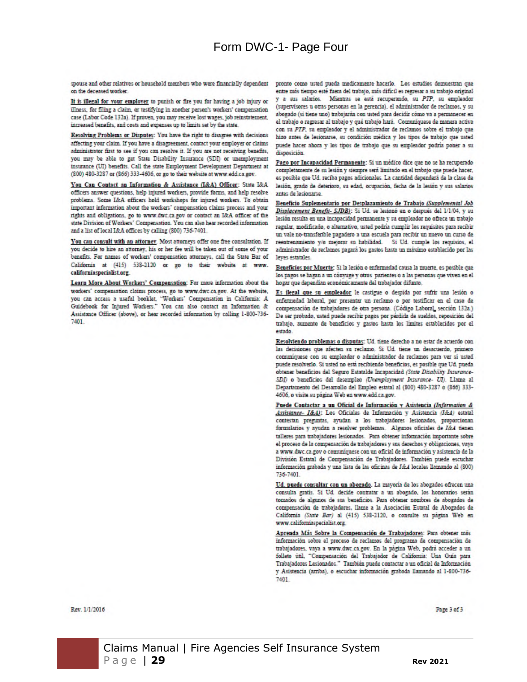# Form DWC-1- Page Four

spouse and other relatives or household members who were financially dependent on the deceased worker

It is illegal for your employer to punish or fire you for having a job injury or illness, for filing a claim, or testifying in another person's workers' compensation case (Labor Code 132a). If proven, you may receive lost wages, job reinstatement, increased benefits, and costs and expenses up to limits set by the state.

Resolving Problems or Disputes: You have the right to disagree with decisions affecting your claim. If you have a disagreement, contact your employer or claims administrator first to see if you can resolve it. If you are not receiving benefits, you may be able to get State Disability Insurance (SDI) or unemployment insurance (UI) benefits. Call the state Employment Development Department at (800) 480-3287 or (866) 333-4606, or go to their website at www.edd.ca.gov.

You Can Contact an Information & Assistance (I&A) Officer: State I&A officers answer questions, help injured workers, provide forms, and help resolve problems. Some I&A officers hold workshops for injured workers. To obtain important information about the workers' compensation claims process and your rights and obligations, go to www.dwc.ca.gov or contact an I&A officer of the state Division of Workers' Compensation. You can also hear recorded information and a list of local I&A offices by calling (800) 736-7401.

You can consult with an attorney. Most attorneys offer one free consultation. If you decide to hire an attorney, his or her fee will be taken out of some of your benefits. For names of workers' compensation attorneys, call the State Bar of California at (415) 538-2120 or go to their website at www. californiaspecialist.org

Learn More About Workers' Compensation: For more information about the workers' compensation claims process, go to www.dwc.ca.gov. At the website, you can access a useful booklet. "Workers' Compensation in California: A Guidebook for Injured Workers." You can also contact an Information & Assistance Officer (above), or hear recorded information by calling 1-800-736-7401

pronto como usted pueda medicamente hacerlo. Los estudios demuestran que entre más tiempo esté fuera del trabajo, más difícil es regresar a su trabajo original y a sus salarios. Mientras se está recuperando, su PTP, su empleador (supervisores u otras personas en la gerencia), el administrador de reclamos, y su abogado (si tiene uno) trabajarán con usted para decidir cómo va a permanecer en el trabajo o regresar al trabajo y qué trabajo hará. Comuniquese de manera activa con su PTP, su empleador y el administrador de reclamos sobre el trabajo que hizo antes de lesionarse, su condición médica y los tipos de trabajo que usted puede hacer ahora y los tipos de trabajo que su empleador podría poner a su disposición.

Pago por Incapacidad Permanente: Si un médico dice que no se ha recuperado completamente de su lesión y siempre será limitado en el trabajo que puede hacer. es posible que Ud, reciba pagos adicionales. La cantidad dependera de la clase de lesión, grado de deterioro, su edad, ocupación, fecha de la lesión y sus salarios antes de lesionarse.

Beneficio Suplementario por Desplazamiento de Trabajo (Supplemental Job Displacement Benefit- SJDB): Si Ud. se lesionó en o después del 1/1/04, y su lesión resulta en una incapacidad permanente y su empleador no ofrece un trabajo regular, modificado, o alternativo, usted podría cumplir los requisitos para recibir un vale no-transferible pagadero a una escuela para recibir un mievo un curso de reentrenamiento y/o mejorar su habilidad. Si Ud. cumple los requisios, el administrador de reclamos pagará los gastos hasta un máximo establecido por las leves estatales

Beneficios por Muerte: Si la lesión o enfermedad causa la muerte, es posible que los pagos se hagan a un cónyuge y otros parientes o a las personas que viven en el hogar que dependían económicamente del trabajador difunto.

Es ilegal que su empleador le castigue o despida por sufrir una lesión o enfermedad laboral, por presentar un reclamo o por testificar en el caso de compensación de trabajadores de otra persona. (Código Laboral, sección 132a.) De ser probado, usted puede recibir pagos por pérdida de sueldos, reposición del trabajo, aumento de beneficios y gastos hasta los límites establecidos por el estado

Resolviendo problemas o disputas: Ud. tiene derecho a no estar de acuerdo con las decisiones que afecten su reclamo. Si Ud. tiene un desacuerdo, primero comuniquese con su empleador o administrador de reclamos para ver si usted puede resolverlo. Si usted no está recibiendo beneficios, es posible que Ud. pueda obtener beneficios del Seguro Estatalde Incapacidad (State Disability Insurance-SDI) o beneficios del desempleo (Unemployment Insurance- UI). Llame al Departamento del Desarrollo del Empleo estatal al (800) 480-3287 o (866) 333-4606, o visite su página Web en www.edd.ca.gov.

Puede Contactar a un Oficial de Información y Asistencia (Information & Assistance- I&A): Los Oficiales de Información y Asistencia (I&A) estatal contestan preguntas, ayudan a los trabajadores lesionados, proporcionan formularios y ayudan a resolver problemas. Algunos oficiales de Ide4 tienen talleres para trabajadores lesionados. Para obtener información importante sobre el proceso de la compensación de trabajadores y sus derechos y obligaciones, vaya a www.dwc.ca.gov o comuniquese con un oficial de información y asistencia de la División Estatal de Compensación de Trabajadores. También puede escuchar información grabada y una lista de las oficinas de Idi.4 locales llamando al (800) 735-7401

Ud. puede consultar con un abogado. La mayoría de los abogados ofrecen una consulta gratis. Si Ud. decide contratar a un abogado, los honorarios serán tomados de algunos de sus beneficios. Para obtener nombres de abogados de compensación de trabajadores, llame a la Asociación Estatal de Abogados de California (State Bar) al (415) 538-2120, o consulte su pàgina Web en www.californiaspecialist.org.

Aprenda Más Sobre la Compensación de Trabajadores: Para obtener más información sobre el proceso de reclamos del programa de compensación de trabajadores, vaya a www.dwc.ca.gov. En la página Web, podrá acceder a un folleto util, "Compensación del Trabajador de California: Una Guia para Trabajadores Lesionados." También puede contactar a un oficial de Información y Asistencia (arriba), o escuchar información grabada llamando al 1-800-736-7401

Rev. 1/1/2016

Page 3 of 3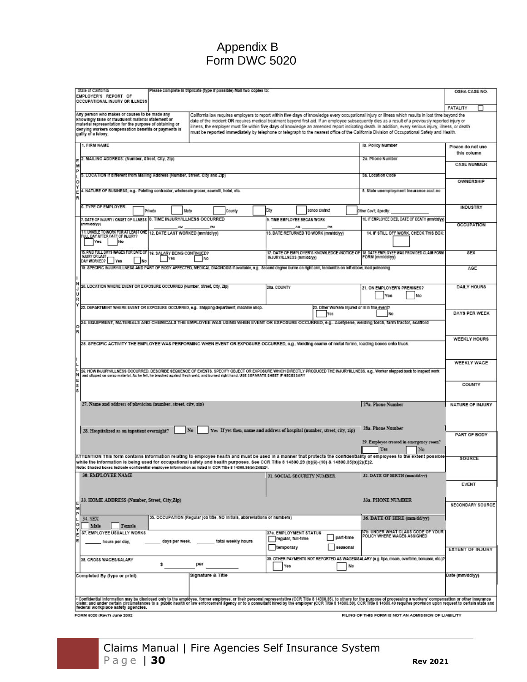# Appendix B Form DWC 5020

| State of California<br>Please complete in triplicate (type if possible) Mail two copies to:<br>EMPLOYER'S REPORT OF<br>OCCUPATIONAL INJURY OR ILLNESS                                                                                                                                                                                                                                                                                 |                                                                            |                                                        |                                                                                                                                                                                                                                                                                                                                                                                                                                                                                                                                                                                                                      | OSHA CASE NO.                     |
|---------------------------------------------------------------------------------------------------------------------------------------------------------------------------------------------------------------------------------------------------------------------------------------------------------------------------------------------------------------------------------------------------------------------------------------|----------------------------------------------------------------------------|--------------------------------------------------------|----------------------------------------------------------------------------------------------------------------------------------------------------------------------------------------------------------------------------------------------------------------------------------------------------------------------------------------------------------------------------------------------------------------------------------------------------------------------------------------------------------------------------------------------------------------------------------------------------------------------|-----------------------------------|
|                                                                                                                                                                                                                                                                                                                                                                                                                                       |                                                                            |                                                        |                                                                                                                                                                                                                                                                                                                                                                                                                                                                                                                                                                                                                      | <b>FATALITY</b>                   |
| Any person who makes or causes to be made any<br>knowingly false or fraudulent material statement or<br>material representation for the purpose of obtaining or<br>denying workers compensation benefits or payments is<br>guilty of a felony.                                                                                                                                                                                        |                                                                            |                                                        | California law requires employers to report within five days of knowledge every occupational injury or illness which results in lost time beyond the<br>date of the incident OR requires medical treatment beyond first aid. If an employee subsequently dies as a result of a previously reported injury or<br>illness, the employer must file within five days of knowledge an amended report indicating death. In addition, every serious injury, illness, or death<br>must be reported immediately by telephone or telegraph to the nearest office of the California Division of Occupational Safety and Health. |                                   |
| 1. FIRM NAME                                                                                                                                                                                                                                                                                                                                                                                                                          |                                                                            |                                                        | Ia. Policy Number                                                                                                                                                                                                                                                                                                                                                                                                                                                                                                                                                                                                    | Please do not use                 |
| 2. MAILING ADDRESS: (Number, Street, City, Zip)                                                                                                                                                                                                                                                                                                                                                                                       |                                                                            |                                                        | 2a. Phone Number                                                                                                                                                                                                                                                                                                                                                                                                                                                                                                                                                                                                     | this column<br><b>CASE NUMBER</b> |
| M<br>Þ<br>3. LOCATION if different from Mailing Address (Number, Street, City and Zip)                                                                                                                                                                                                                                                                                                                                                |                                                                            |                                                        | 3a. Location Code                                                                                                                                                                                                                                                                                                                                                                                                                                                                                                                                                                                                    |                                   |
| ١o<br>Υ                                                                                                                                                                                                                                                                                                                                                                                                                               |                                                                            |                                                        |                                                                                                                                                                                                                                                                                                                                                                                                                                                                                                                                                                                                                      | OWNERSHIP                         |
| 4. NATURE OF BUSINESS; e.g Painting contractor, wholesale grocer, sawmill, hotel, etc.<br>E<br>R                                                                                                                                                                                                                                                                                                                                      |                                                                            |                                                        | 5. State unemployment insurance acct.no                                                                                                                                                                                                                                                                                                                                                                                                                                                                                                                                                                              |                                   |
| 6. TYPE OF EMPLOYER:<br>Private<br>State                                                                                                                                                                                                                                                                                                                                                                                              | City<br>County                                                             | School District                                        | Other Gov't, Specify:                                                                                                                                                                                                                                                                                                                                                                                                                                                                                                                                                                                                | INDUSTRY                          |
| 7. DATE OF INJURY / ONSET OF ILLNESS 8. TIME INJURY/ILLNESS OCCURRED<br>(mm/dd/w/)                                                                                                                                                                                                                                                                                                                                                    | 9. TIME EMPLOYEE BEGAN WORK<br>AМ                                          |                                                        | 10. IF EMPLOYEE DIED, DATE OF DEATH (mm/dd/yy)                                                                                                                                                                                                                                                                                                                                                                                                                                                                                                                                                                       | <b>OCCUPATION</b>                 |
| 11. UNABLE TO WORK FOR AT LEAST ONE 12. DATE LAST WORKED (mm/dd/yy)<br>FULL DAY AFTER DATE OF INJURY?<br>Yec<br>No                                                                                                                                                                                                                                                                                                                    |                                                                            | 13. DATE RETURNED TO WORK (mm/dd/yy)                   | 14. IF STILL OFF WORK, CHECK THIS BOX:                                                                                                                                                                                                                                                                                                                                                                                                                                                                                                                                                                               |                                   |
| 15. PAID FULL DAYS WAGES FOR DATE OF 16. SALARY BEING CONTINUED?<br><b>NJURY OR LAST</b><br>Yes<br>No<br>DAY WORKED?<br>Yes<br>No                                                                                                                                                                                                                                                                                                     | INJURY/ILLNESS (mm/dd/yy)                                                  |                                                        | 17. DATE OF EMPLOYER'S KNOWLEDGE /NOTICE OF 18. DATE EMPLOYEE WAS PROVIDED CLAIM FORM<br>FORM (mm/dd/yy)                                                                                                                                                                                                                                                                                                                                                                                                                                                                                                             | <b>SEX</b>                        |
| 19. SPECIFIC INJURY/ILLNESS AND PART OF BODY AFFECTED, MEDICAL DIAGNOSIS if available, e.g. Second degree burns on right arm, tendonitis on left elbow, lead polsoning                                                                                                                                                                                                                                                                |                                                                            |                                                        |                                                                                                                                                                                                                                                                                                                                                                                                                                                                                                                                                                                                                      | AGE                               |
| N<br>20. LOCATION WHERE EVENT OR EXPOSURE OCCURRED (Number, Street, City, Zip)                                                                                                                                                                                                                                                                                                                                                        |                                                                            |                                                        |                                                                                                                                                                                                                                                                                                                                                                                                                                                                                                                                                                                                                      |                                   |
| IJ<br>Y                                                                                                                                                                                                                                                                                                                                                                                                                               | 20a. COUNTY                                                                |                                                        | 21. ON EMPLOYER'S PREMISES?<br>No<br>Yes                                                                                                                                                                                                                                                                                                                                                                                                                                                                                                                                                                             | <b>DAILY HOURS</b>                |
| 22. DEPARTMENT WHERE EVENT OR EXPOSURE OCCURRED, e.g., Shipping department, machine shop.                                                                                                                                                                                                                                                                                                                                             |                                                                            | 23. Other Workers injured or ill in this event?<br>Yes | No                                                                                                                                                                                                                                                                                                                                                                                                                                                                                                                                                                                                                   | DAYS PER WEEK                     |
| 24. EQUIPMENT, MATERIALS AND CHEMICALS THE EMPLOYEE WAS USING WHEN EVENT OR EXPOSURE OCCURRED, e.g Acetylene, welding torch, farm tractor, scaffold<br>O<br>R                                                                                                                                                                                                                                                                         |                                                                            |                                                        |                                                                                                                                                                                                                                                                                                                                                                                                                                                                                                                                                                                                                      |                                   |
| 25. SPECIFIC ACTIVITY THE EMPLOYEE WAS PERFORMING WHEN EVENT OR EXPOSURE OCCURRED, e.g Welding seams of metal forms, loading boxes onto truck.                                                                                                                                                                                                                                                                                        |                                                                            |                                                        |                                                                                                                                                                                                                                                                                                                                                                                                                                                                                                                                                                                                                      | <b>WEEKLY HOURS</b>               |
| 26. HOW INJURYILLINESS OCCURRED. DESCRIBE SEQUENCE OF EVENTS. SPECIFY OBJECT OR EXPOSURE WHICH DIRECTLY PRODUCED THE INJURYIILLINESS, e.g Worker stepped back to inspect work<br>N<br>and slipped on sorap material. As he fell, he brushed against fresh weld, and burned right hand. USE SEPARATE SHEET IF NECESSARY                                                                                                                |                                                                            |                                                        |                                                                                                                                                                                                                                                                                                                                                                                                                                                                                                                                                                                                                      | <b>WEEKLY WAGE</b>                |
| E<br>S<br>ls                                                                                                                                                                                                                                                                                                                                                                                                                          |                                                                            |                                                        |                                                                                                                                                                                                                                                                                                                                                                                                                                                                                                                                                                                                                      | COUNTY                            |
| 27. Name and address of physician (number, street, city, zip)                                                                                                                                                                                                                                                                                                                                                                         |                                                                            |                                                        | 27a. Phone Number                                                                                                                                                                                                                                                                                                                                                                                                                                                                                                                                                                                                    | <b>NATURE OF INJURY</b>           |
| No<br>28. Hospitalized as an inpatient overnight?                                                                                                                                                                                                                                                                                                                                                                                     | Yes If yes then, name and address of hospital (number, street, city, zip). |                                                        | 28a. Phone Number                                                                                                                                                                                                                                                                                                                                                                                                                                                                                                                                                                                                    |                                   |
|                                                                                                                                                                                                                                                                                                                                                                                                                                       |                                                                            |                                                        | 29. Employee treated in emergency room?                                                                                                                                                                                                                                                                                                                                                                                                                                                                                                                                                                              | PART OF BODY                      |
|                                                                                                                                                                                                                                                                                                                                                                                                                                       |                                                                            |                                                        | Yes<br>No                                                                                                                                                                                                                                                                                                                                                                                                                                                                                                                                                                                                            |                                   |
| ATTENTION This form contains information relating to employee health and must be used in a manner that protects the confidentiality of employees to the extent possible<br>while the information is being used for occupational safety and health purposes. See CCR Title 8 14300.29 (b)(6)-(10) & 14300.35(b)(2)(E)2.<br>Note: Shaded boxes Indicate confidential employee information as listed in CCR Title 8 14300.35(b)(2)(E)2*. |                                                                            |                                                        |                                                                                                                                                                                                                                                                                                                                                                                                                                                                                                                                                                                                                      | SOURCE                            |
| 30. EMPLOYEE NAME                                                                                                                                                                                                                                                                                                                                                                                                                     |                                                                            | 31. SOCIAL SECURITY NUMBER                             | 32. DATE OF BIRTH (mm/dd/yy)                                                                                                                                                                                                                                                                                                                                                                                                                                                                                                                                                                                         |                                   |
|                                                                                                                                                                                                                                                                                                                                                                                                                                       |                                                                            |                                                        |                                                                                                                                                                                                                                                                                                                                                                                                                                                                                                                                                                                                                      | <b>EVENT</b>                      |
| 33. HOME ADDRESS (Number, Street, City, Zip)<br>M                                                                                                                                                                                                                                                                                                                                                                                     |                                                                            |                                                        | 33a, PHONE NUMBER                                                                                                                                                                                                                                                                                                                                                                                                                                                                                                                                                                                                    | SECONDARY SOURCE                  |
| Þ<br>35. OCCUPATION (Regular job title, NO Initials, abbreviations or numbers)<br>34. SEX<br>٥                                                                                                                                                                                                                                                                                                                                        |                                                                            |                                                        | 36. DATE OF HIRE (mm/dd/yy)                                                                                                                                                                                                                                                                                                                                                                                                                                                                                                                                                                                          |                                   |
| Male<br>Female<br>37. EMPLOYEE USUALLY WORKS                                                                                                                                                                                                                                                                                                                                                                                          | 37a. EMPLOYMENT STATUS                                                     | part-time                                              | 37b. UNDER WHAT CLASS CODE OF YOUR<br>POLICY WHERE WAGES ASSIGNED                                                                                                                                                                                                                                                                                                                                                                                                                                                                                                                                                    |                                   |
| E<br>days per week,<br>hours per day,                                                                                                                                                                                                                                                                                                                                                                                                 | regular, full-time<br>total weekly hours<br>temporary                      | sessonal                                               |                                                                                                                                                                                                                                                                                                                                                                                                                                                                                                                                                                                                                      | <b>EXTENT OF INJURY</b>           |
| 38. GROSS WAGES/SALARY<br>per                                                                                                                                                                                                                                                                                                                                                                                                         | Yes                                                                        | No                                                     | 39. OTHER PAYMENTS NOT REPORTED AS WAGESISALARY (e.g. tips, meals, overtime, bonuses, etc.)?                                                                                                                                                                                                                                                                                                                                                                                                                                                                                                                         |                                   |
| Signature & Title<br>Completed By (type or print)                                                                                                                                                                                                                                                                                                                                                                                     |                                                                            |                                                        |                                                                                                                                                                                                                                                                                                                                                                                                                                                                                                                                                                                                                      | Date (mm/dd/yy)                   |
| - Confidential information may be disclosed only to the empleyse, former employee, or their personal representative (CCR Title 8 14300.35), to others for the purpose of processing a workers' compensation or other insurance                                                                                                                                                                                                        |                                                                            |                                                        |                                                                                                                                                                                                                                                                                                                                                                                                                                                                                                                                                                                                                      |                                   |
| federal workplace safety agencies.<br>FORM 6020 (Rev7) June 2002                                                                                                                                                                                                                                                                                                                                                                      |                                                                            |                                                        | FILING OF THIS FORM IS NOT AN ADMISSION OF LIABILITY                                                                                                                                                                                                                                                                                                                                                                                                                                                                                                                                                                 |                                   |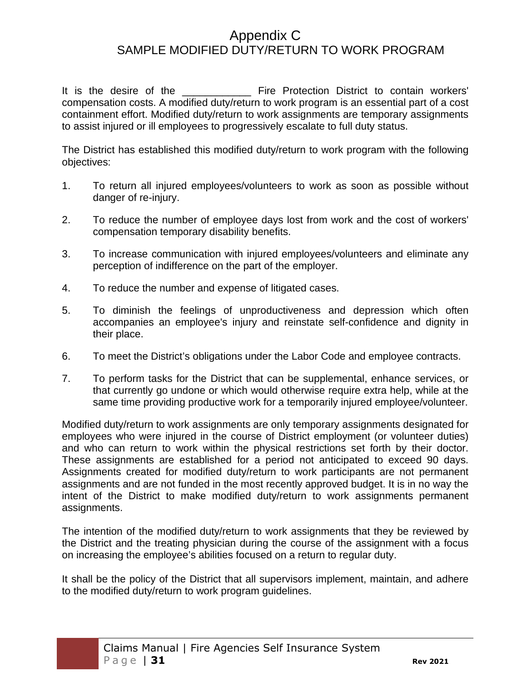# Appendix C SAMPLE MODIFIED DUTY/RETURN TO WORK PROGRAM

It is the desire of the **Example 20 Fire Protection District to contain workers'** compensation costs. A modified duty/return to work program is an essential part of a cost containment effort. Modified duty/return to work assignments are temporary assignments to assist injured or ill employees to progressively escalate to full duty status.

The District has established this modified duty/return to work program with the following objectives:

- 1. To return all injured employees/volunteers to work as soon as possible without danger of re-injury.
- 2. To reduce the number of employee days lost from work and the cost of workers' compensation temporary disability benefits.
- 3. To increase communication with injured employees/volunteers and eliminate any perception of indifference on the part of the employer.
- 4. To reduce the number and expense of litigated cases.
- 5. To diminish the feelings of unproductiveness and depression which often accompanies an employee's injury and reinstate self-confidence and dignity in their place.
- 6. To meet the District's obligations under the Labor Code and employee contracts.
- 7. To perform tasks for the District that can be supplemental, enhance services, or that currently go undone or which would otherwise require extra help, while at the same time providing productive work for a temporarily injured employee/volunteer.

Modified duty/return to work assignments are only temporary assignments designated for employees who were injured in the course of District employment (or volunteer duties) and who can return to work within the physical restrictions set forth by their doctor. These assignments are established for a period not anticipated to exceed 90 days. Assignments created for modified duty/return to work participants are not permanent assignments and are not funded in the most recently approved budget. It is in no way the intent of the District to make modified duty/return to work assignments permanent assignments.

The intention of the modified duty/return to work assignments that they be reviewed by the District and the treating physician during the course of the assignment with a focus on increasing the employee's abilities focused on a return to regular duty.

It shall be the policy of the District that all supervisors implement, maintain, and adhere to the modified duty/return to work program guidelines.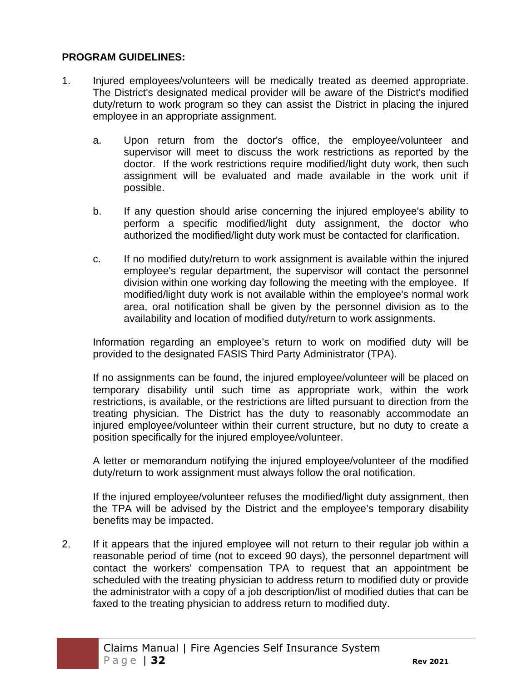#### **PROGRAM GUIDELINES:**

- 1. Injured employees/volunteers will be medically treated as deemed appropriate. The District's designated medical provider will be aware of the District's modified duty/return to work program so they can assist the District in placing the injured employee in an appropriate assignment.
	- a. Upon return from the doctor's office, the employee/volunteer and supervisor will meet to discuss the work restrictions as reported by the doctor. If the work restrictions require modified/light duty work, then such assignment will be evaluated and made available in the work unit if possible.
	- b. If any question should arise concerning the injured employee's ability to perform a specific modified/light duty assignment, the doctor who authorized the modified/light duty work must be contacted for clarification.
	- c. If no modified duty/return to work assignment is available within the injured employee's regular department, the supervisor will contact the personnel division within one working day following the meeting with the employee. If modified/light duty work is not available within the employee's normal work area, oral notification shall be given by the personnel division as to the availability and location of modified duty/return to work assignments.

Information regarding an employee's return to work on modified duty will be provided to the designated FASIS Third Party Administrator (TPA).

If no assignments can be found, the injured employee/volunteer will be placed on temporary disability until such time as appropriate work, within the work restrictions, is available, or the restrictions are lifted pursuant to direction from the treating physician. The District has the duty to reasonably accommodate an injured employee/volunteer within their current structure, but no duty to create a position specifically for the injured employee/volunteer.

A letter or memorandum notifying the injured employee/volunteer of the modified duty/return to work assignment must always follow the oral notification.

If the injured employee/volunteer refuses the modified/light duty assignment, then the TPA will be advised by the District and the employee's temporary disability benefits may be impacted.

2. If it appears that the injured employee will not return to their regular job within a reasonable period of time (not to exceed 90 days), the personnel department will contact the workers' compensation TPA to request that an appointment be scheduled with the treating physician to address return to modified duty or provide the administrator with a copy of a job description/list of modified duties that can be faxed to the treating physician to address return to modified duty.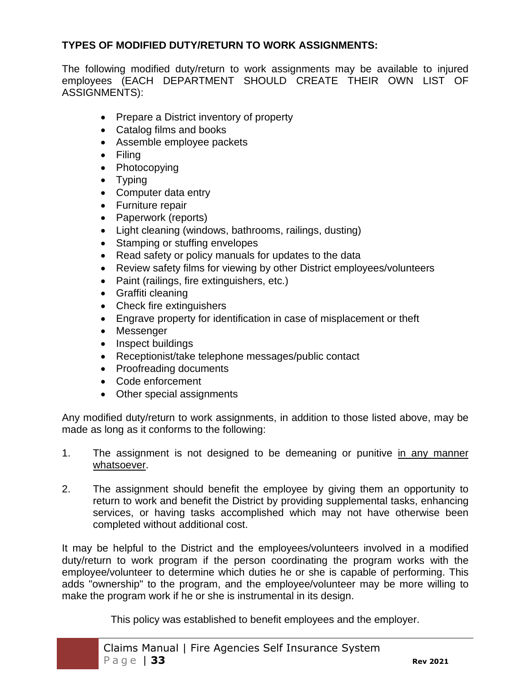#### **TYPES OF MODIFIED DUTY/RETURN TO WORK ASSIGNMENTS:**

The following modified duty/return to work assignments may be available to injured employees (EACH DEPARTMENT SHOULD CREATE THEIR OWN LIST OF ASSIGNMENTS):

- Prepare a District inventory of property
- Catalog films and books
- Assemble employee packets
- Filing
- Photocopying
- Typing
- Computer data entry
- Furniture repair
- Paperwork (reports)
- Light cleaning (windows, bathrooms, railings, dusting)
- Stamping or stuffing envelopes
- Read safety or policy manuals for updates to the data
- Review safety films for viewing by other District employees/volunteers
- Paint (railings, fire extinguishers, etc.)
- Graffiti cleaning
- Check fire extinguishers
- Engrave property for identification in case of misplacement or theft
- Messenger
- Inspect buildings
- Receptionist/take telephone messages/public contact
- Proofreading documents
- Code enforcement
- Other special assignments

Any modified duty/return to work assignments, in addition to those listed above, may be made as long as it conforms to the following:

- 1. The assignment is not designed to be demeaning or punitive in any manner whatsoever.
- 2. The assignment should benefit the employee by giving them an opportunity to return to work and benefit the District by providing supplemental tasks, enhancing services, or having tasks accomplished which may not have otherwise been completed without additional cost.

It may be helpful to the District and the employees/volunteers involved in a modified duty/return to work program if the person coordinating the program works with the employee/volunteer to determine which duties he or she is capable of performing. This adds "ownership" to the program, and the employee/volunteer may be more willing to make the program work if he or she is instrumental in its design.

This policy was established to benefit employees and the employer.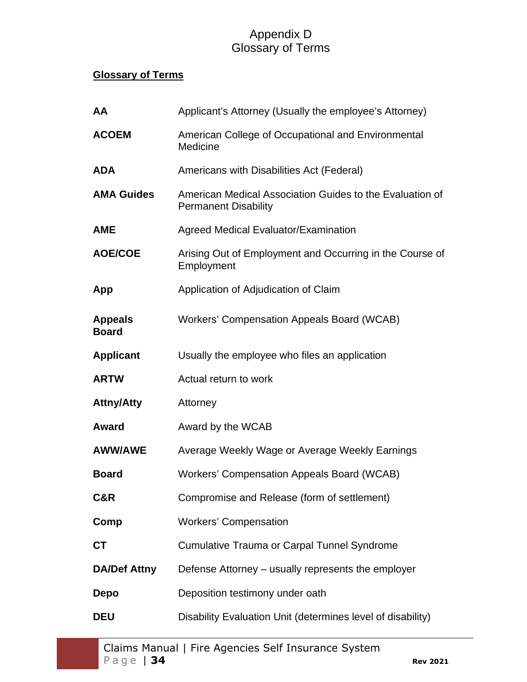# Appendix D Glossary of Terms

# **Glossary of Terms**

| AA                             | Applicant's Attorney (Usually the employee's Attorney)                                  |
|--------------------------------|-----------------------------------------------------------------------------------------|
| <b>ACOEM</b>                   | American College of Occupational and Environmental<br>Medicine                          |
| <b>ADA</b>                     | Americans with Disabilities Act (Federal)                                               |
| <b>AMA Guides</b>              | American Medical Association Guides to the Evaluation of<br><b>Permanent Disability</b> |
| <b>AME</b>                     | <b>Agreed Medical Evaluator/Examination</b>                                             |
| <b>AOE/COE</b>                 | Arising Out of Employment and Occurring in the Course of<br>Employment                  |
| App                            | Application of Adjudication of Claim                                                    |
| <b>Appeals</b><br><b>Board</b> | Workers' Compensation Appeals Board (WCAB)                                              |
| <b>Applicant</b>               | Usually the employee who files an application                                           |
| <b>ARTW</b>                    | Actual return to work                                                                   |
| <b>Attny/Atty</b>              | Attorney                                                                                |
| <b>Award</b>                   | Award by the WCAB                                                                       |
| <b>AWW/AWE</b>                 | Average Weekly Wage or Average Weekly Earnings                                          |
| <b>Board</b>                   | <b>Workers' Compensation Appeals Board (WCAB)</b>                                       |
| C&R                            | Compromise and Release (form of settlement)                                             |
| Comp                           | <b>Workers' Compensation</b>                                                            |
| <b>CT</b>                      | Cumulative Trauma or Carpal Tunnel Syndrome                                             |
| <b>DA/Def Attny</b>            | Defense Attorney – usually represents the employer                                      |
| Depo                           | Deposition testimony under oath                                                         |
| <b>DEU</b>                     | Disability Evaluation Unit (determines level of disability)                             |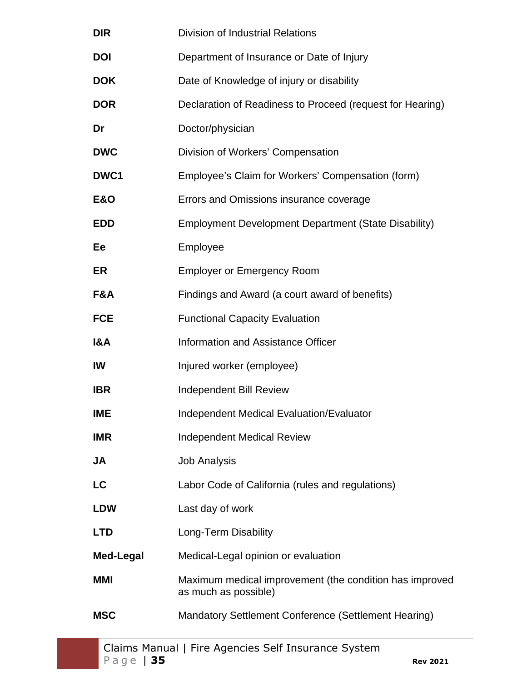| <b>DIR</b>       | <b>Division of Industrial Relations</b>                                         |
|------------------|---------------------------------------------------------------------------------|
| <b>DOI</b>       | Department of Insurance or Date of Injury                                       |
| <b>DOK</b>       | Date of Knowledge of injury or disability                                       |
| <b>DOR</b>       | Declaration of Readiness to Proceed (request for Hearing)                       |
| Dr               | Doctor/physician                                                                |
| <b>DWC</b>       | Division of Workers' Compensation                                               |
| DWC1             | Employee's Claim for Workers' Compensation (form)                               |
| <b>E&amp;O</b>   | Errors and Omissions insurance coverage                                         |
| <b>EDD</b>       | <b>Employment Development Department (State Disability)</b>                     |
| Ee               | Employee                                                                        |
| ER               | <b>Employer or Emergency Room</b>                                               |
| F&A              | Findings and Award (a court award of benefits)                                  |
| <b>FCE</b>       | <b>Functional Capacity Evaluation</b>                                           |
| <b>I&amp;A</b>   | Information and Assistance Officer                                              |
| IW               | Injured worker (employee)                                                       |
| <b>IBR</b>       | <b>Independent Bill Review</b>                                                  |
| <b>IME</b>       | <b>Independent Medical Evaluation/Evaluator</b>                                 |
| <b>IMR</b>       | <b>Independent Medical Review</b>                                               |
| JA               | <b>Job Analysis</b>                                                             |
| LC               | Labor Code of California (rules and regulations)                                |
| <b>LDW</b>       | Last day of work                                                                |
| <b>LTD</b>       | Long-Term Disability                                                            |
| <b>Med-Legal</b> | Medical-Legal opinion or evaluation                                             |
| <b>MMI</b>       | Maximum medical improvement (the condition has improved<br>as much as possible) |
| <b>MSC</b>       | Mandatory Settlement Conference (Settlement Hearing)                            |
|                  |                                                                                 |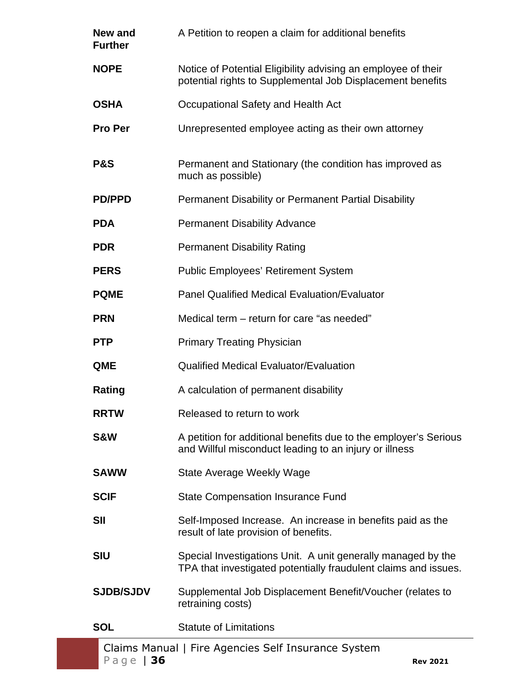| New and<br><b>Further</b> | A Petition to reopen a claim for additional benefits                                                                            |
|---------------------------|---------------------------------------------------------------------------------------------------------------------------------|
| <b>NOPE</b>               | Notice of Potential Eligibility advising an employee of their<br>potential rights to Supplemental Job Displacement benefits     |
| <b>OSHA</b>               | Occupational Safety and Health Act                                                                                              |
| <b>Pro Per</b>            | Unrepresented employee acting as their own attorney                                                                             |
| <b>P&amp;S</b>            | Permanent and Stationary (the condition has improved as<br>much as possible)                                                    |
| <b>PD/PPD</b>             | Permanent Disability or Permanent Partial Disability                                                                            |
| <b>PDA</b>                | <b>Permanent Disability Advance</b>                                                                                             |
| <b>PDR</b>                | <b>Permanent Disability Rating</b>                                                                                              |
| <b>PERS</b>               | <b>Public Employees' Retirement System</b>                                                                                      |
| <b>PQME</b>               | <b>Panel Qualified Medical Evaluation/Evaluator</b>                                                                             |
| <b>PRN</b>                | Medical term – return for care "as needed"                                                                                      |
| <b>PTP</b>                | <b>Primary Treating Physician</b>                                                                                               |
| <b>QME</b>                | <b>Qualified Medical Evaluator/Evaluation</b>                                                                                   |
| Rating                    | A calculation of permanent disability                                                                                           |
| <b>RRTW</b>               | Released to return to work                                                                                                      |
| S&W                       | A petition for additional benefits due to the employer's Serious<br>and Willful misconduct leading to an injury or illness      |
| <b>SAWW</b>               | State Average Weekly Wage                                                                                                       |
| <b>SCIF</b>               | <b>State Compensation Insurance Fund</b>                                                                                        |
| <b>SII</b>                | Self-Imposed Increase. An increase in benefits paid as the<br>result of late provision of benefits.                             |
| <b>SIU</b>                | Special Investigations Unit. A unit generally managed by the<br>TPA that investigated potentially fraudulent claims and issues. |
| <b>SJDB/SJDV</b>          | Supplemental Job Displacement Benefit/Voucher (relates to<br>retraining costs)                                                  |
| <b>SOL</b>                | <b>Statute of Limitations</b>                                                                                                   |
|                           | Claims Manual   Fire Agencies Self Insurance System                                                                             |